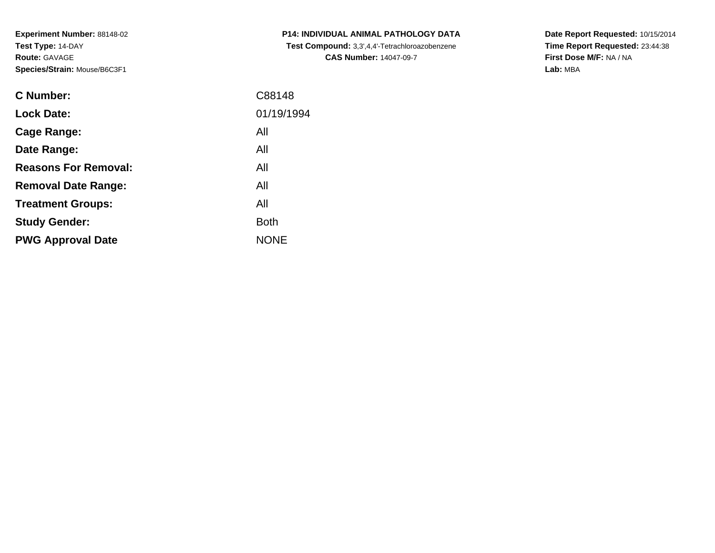**Experiment Number:** 88148-02**Test Type:** 14-DAY**Route:** GAVAGE**Species/Strain:** Mouse/B6C3F1

| <b>C Number:</b>            | C88148      |
|-----------------------------|-------------|
| <b>Lock Date:</b>           | 01/19/1994  |
| Cage Range:                 | All         |
| Date Range:                 | All         |
| <b>Reasons For Removal:</b> | All         |
| <b>Removal Date Range:</b>  | All         |
| <b>Treatment Groups:</b>    | All         |
| <b>Study Gender:</b>        | <b>Both</b> |
| <b>PWG Approval Date</b>    | <b>NONE</b> |
|                             |             |

**P14: INDIVIDUAL ANIMAL PATHOLOGY DATA Test Compound:** 3,3',4,4'-Tetrachloroazobenzene**CAS Number:** 14047-09-7

**Date Report Requested:** 10/15/2014 **Time Report Requested:** 23:44:38**First Dose M/F:** NA / NA**Lab:** MBA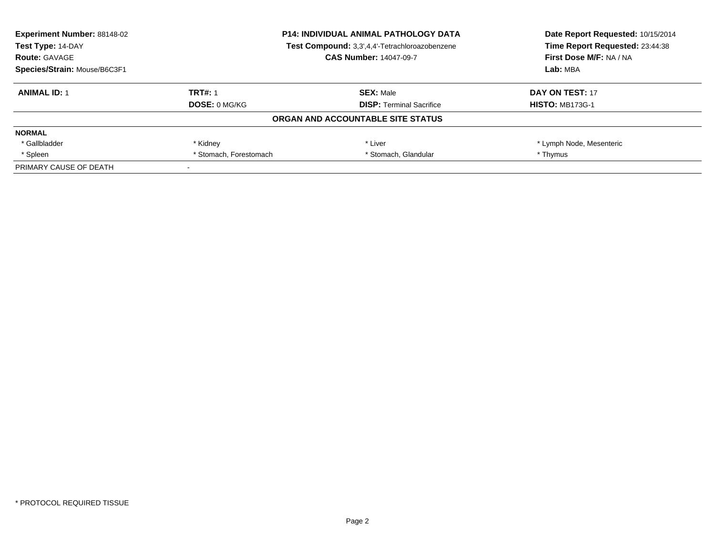| <b>Experiment Number: 88148-02</b> | <b>P14: INDIVIDUAL ANIMAL PATHOLOGY DATA</b><br>Test Compound: 3,3',4,4'-Tetrachloroazobenzene |                                   | Date Report Requested: 10/15/2014 |
|------------------------------------|------------------------------------------------------------------------------------------------|-----------------------------------|-----------------------------------|
| Test Type: 14-DAY                  |                                                                                                |                                   | Time Report Requested: 23:44:38   |
| <b>Route: GAVAGE</b>               |                                                                                                | <b>CAS Number: 14047-09-7</b>     | First Dose M/F: NA / NA           |
| Species/Strain: Mouse/B6C3F1       |                                                                                                | Lab: MBA                          |                                   |
| <b>ANIMAL ID: 1</b>                | <b>TRT#: 1</b>                                                                                 | <b>SEX: Male</b>                  | DAY ON TEST: 17                   |
|                                    | DOSE: 0 MG/KG                                                                                  | <b>DISP:</b> Terminal Sacrifice   | <b>HISTO: MB173G-1</b>            |
|                                    |                                                                                                | ORGAN AND ACCOUNTABLE SITE STATUS |                                   |
| <b>NORMAL</b>                      |                                                                                                |                                   |                                   |
| * Gallbladder                      | * Kidney                                                                                       | * Liver                           | * Lymph Node, Mesenteric          |
| * Spleen                           | * Stomach, Forestomach                                                                         | * Stomach, Glandular              | * Thymus                          |
| PRIMARY CAUSE OF DEATH             |                                                                                                |                                   |                                   |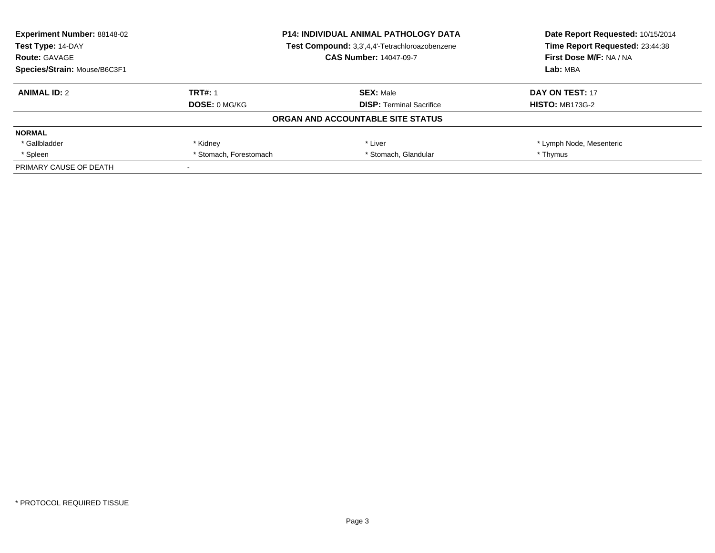| <b>Experiment Number: 88148-02</b> | <b>P14: INDIVIDUAL ANIMAL PATHOLOGY DATA</b><br>Test Compound: 3,3',4,4'-Tetrachloroazobenzene |                                   | Date Report Requested: 10/15/2014 |
|------------------------------------|------------------------------------------------------------------------------------------------|-----------------------------------|-----------------------------------|
| Test Type: 14-DAY                  |                                                                                                |                                   | Time Report Requested: 23:44:38   |
| <b>Route: GAVAGE</b>               |                                                                                                | <b>CAS Number: 14047-09-7</b>     | First Dose M/F: NA / NA           |
| Species/Strain: Mouse/B6C3F1       |                                                                                                | Lab: MBA                          |                                   |
| <b>ANIMAL ID: 2</b>                | <b>TRT#: 1</b>                                                                                 | <b>SEX: Male</b>                  | DAY ON TEST: 17                   |
|                                    | DOSE: 0 MG/KG                                                                                  | <b>DISP:</b> Terminal Sacrifice   | <b>HISTO: MB173G-2</b>            |
|                                    |                                                                                                | ORGAN AND ACCOUNTABLE SITE STATUS |                                   |
| <b>NORMAL</b>                      |                                                                                                |                                   |                                   |
| * Gallbladder                      | * Kidney                                                                                       | * Liver                           | * Lymph Node, Mesenteric          |
| * Spleen                           | * Stomach, Forestomach                                                                         | * Stomach, Glandular              | * Thymus                          |
| PRIMARY CAUSE OF DEATH             |                                                                                                |                                   |                                   |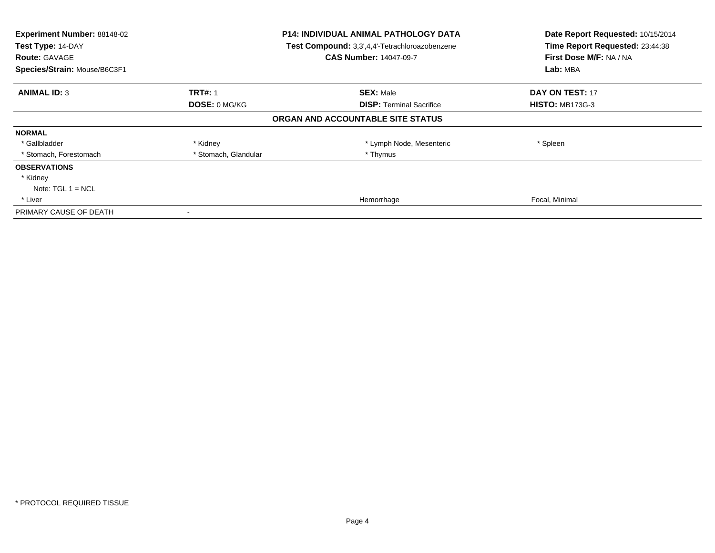| Experiment Number: 88148-02<br>Test Type: 14-DAY<br><b>Route: GAVAGE</b><br>Species/Strain: Mouse/B6C3F1 |                                        | <b>P14: INDIVIDUAL ANIMAL PATHOLOGY DATA</b><br>Test Compound: 3,3',4,4'-Tetrachloroazobenzene<br><b>CAS Number: 14047-09-7</b> | Date Report Requested: 10/15/2014<br>Time Report Requested: 23:44:38<br>First Dose M/F: NA / NA<br>Lab: MBA |
|----------------------------------------------------------------------------------------------------------|----------------------------------------|---------------------------------------------------------------------------------------------------------------------------------|-------------------------------------------------------------------------------------------------------------|
| <b>ANIMAL ID: 3</b>                                                                                      | <b>TRT#: 1</b><br><b>DOSE: 0 MG/KG</b> | <b>SEX: Male</b><br><b>DISP: Terminal Sacrifice</b>                                                                             | DAY ON TEST: 17<br><b>HISTO: MB173G-3</b>                                                                   |
|                                                                                                          |                                        | ORGAN AND ACCOUNTABLE SITE STATUS                                                                                               |                                                                                                             |
| <b>NORMAL</b>                                                                                            |                                        |                                                                                                                                 |                                                                                                             |
| * Gallbladder                                                                                            | * Kidney                               | * Lymph Node, Mesenteric                                                                                                        | * Spleen                                                                                                    |
| * Stomach, Forestomach                                                                                   | * Stomach, Glandular                   | * Thymus                                                                                                                        |                                                                                                             |
| <b>OBSERVATIONS</b>                                                                                      |                                        |                                                                                                                                 |                                                                                                             |
| * Kidney                                                                                                 |                                        |                                                                                                                                 |                                                                                                             |
| Note: $TGL 1 = NCL$                                                                                      |                                        |                                                                                                                                 |                                                                                                             |
| * Liver                                                                                                  |                                        | Hemorrhage                                                                                                                      | Focal, Minimal                                                                                              |
| PRIMARY CAUSE OF DEATH                                                                                   |                                        |                                                                                                                                 |                                                                                                             |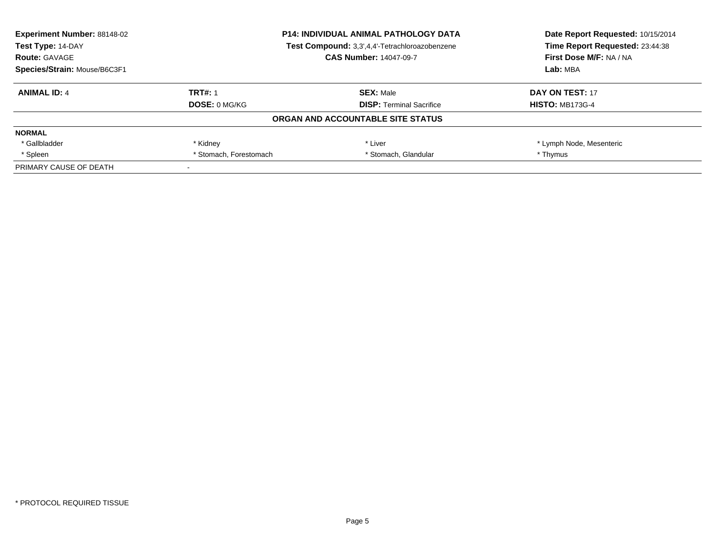| <b>Experiment Number: 88148-02</b> | <b>P14: INDIVIDUAL ANIMAL PATHOLOGY DATA</b><br>Test Compound: 3,3',4,4'-Tetrachloroazobenzene |                                   | Date Report Requested: 10/15/2014 |
|------------------------------------|------------------------------------------------------------------------------------------------|-----------------------------------|-----------------------------------|
| Test Type: 14-DAY                  |                                                                                                |                                   | Time Report Requested: 23:44:38   |
| <b>Route: GAVAGE</b>               |                                                                                                | <b>CAS Number: 14047-09-7</b>     | First Dose M/F: NA / NA           |
| Species/Strain: Mouse/B6C3F1       |                                                                                                | Lab: MBA                          |                                   |
| <b>ANIMAL ID: 4</b>                | <b>TRT#: 1</b>                                                                                 | <b>SEX: Male</b>                  | DAY ON TEST: 17                   |
|                                    | DOSE: 0 MG/KG                                                                                  | <b>DISP:</b> Terminal Sacrifice   | <b>HISTO: MB173G-4</b>            |
|                                    |                                                                                                | ORGAN AND ACCOUNTABLE SITE STATUS |                                   |
| <b>NORMAL</b>                      |                                                                                                |                                   |                                   |
| * Gallbladder                      | * Kidney                                                                                       | * Liver                           | * Lymph Node, Mesenteric          |
| * Spleen                           | * Stomach, Forestomach                                                                         | * Stomach, Glandular              | * Thymus                          |
| PRIMARY CAUSE OF DEATH             |                                                                                                |                                   |                                   |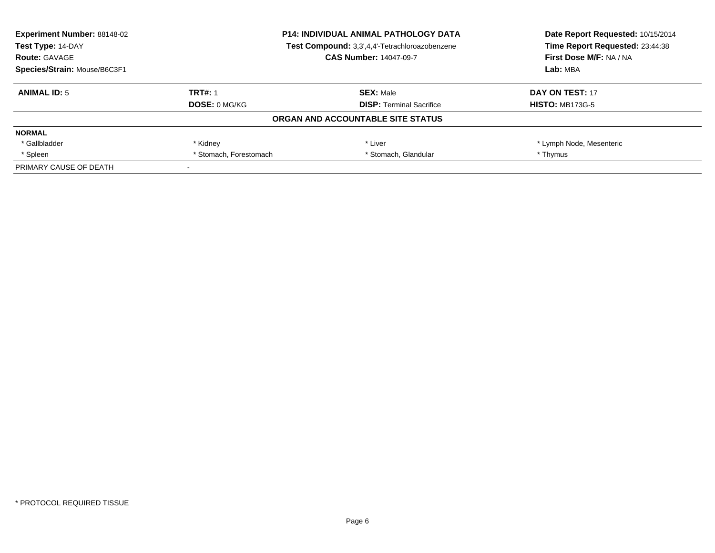| <b>Experiment Number: 88148-02</b> | <b>P14: INDIVIDUAL ANIMAL PATHOLOGY DATA</b><br>Test Compound: 3,3',4,4'-Tetrachloroazobenzene |                                   | Date Report Requested: 10/15/2014 |
|------------------------------------|------------------------------------------------------------------------------------------------|-----------------------------------|-----------------------------------|
| Test Type: 14-DAY                  |                                                                                                |                                   | Time Report Requested: 23:44:38   |
| <b>Route: GAVAGE</b>               |                                                                                                | <b>CAS Number: 14047-09-7</b>     | First Dose M/F: NA / NA           |
| Species/Strain: Mouse/B6C3F1       |                                                                                                |                                   | Lab: MBA                          |
| <b>ANIMAL ID: 5</b>                | <b>TRT#: 1</b>                                                                                 | <b>SEX: Male</b>                  | DAY ON TEST: 17                   |
|                                    | DOSE: 0 MG/KG                                                                                  | <b>DISP:</b> Terminal Sacrifice   | <b>HISTO: MB173G-5</b>            |
|                                    |                                                                                                | ORGAN AND ACCOUNTABLE SITE STATUS |                                   |
| <b>NORMAL</b>                      |                                                                                                |                                   |                                   |
| * Gallbladder                      | * Kidney                                                                                       | * Liver                           | * Lymph Node, Mesenteric          |
| * Spleen                           | * Stomach, Forestomach                                                                         | * Stomach, Glandular              | * Thymus                          |
| PRIMARY CAUSE OF DEATH             |                                                                                                |                                   |                                   |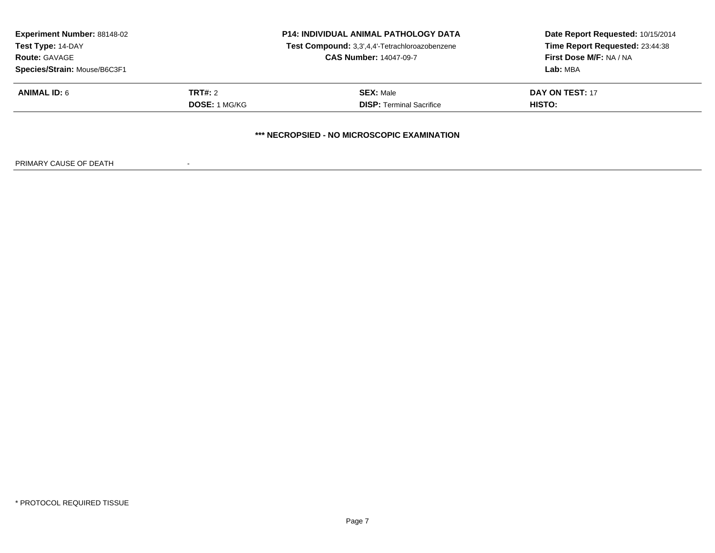| <b>Experiment Number: 88148-02</b><br>Test Type: 14-DAY<br><b>Route: GAVAGE</b><br>Species/Strain: Mouse/B6C3F1 | <b>P14: INDIVIDUAL ANIMAL PATHOLOGY DATA</b><br>Test Compound: 3,3',4,4'-Tetrachloroazobenzene<br><b>CAS Number: 14047-09-7</b> |                                                     | Date Report Requested: 10/15/2014<br>Time Report Requested: 23:44:38<br>First Dose M/F: NA / NA<br>Lab: MBA |
|-----------------------------------------------------------------------------------------------------------------|---------------------------------------------------------------------------------------------------------------------------------|-----------------------------------------------------|-------------------------------------------------------------------------------------------------------------|
| <b>ANIMAL ID: 6</b>                                                                                             | <b>TRT#:</b> 2<br><b>DOSE: 1 MG/KG</b>                                                                                          | <b>SEX: Male</b><br><b>DISP: Terminal Sacrifice</b> | <b>DAY ON TEST: 17</b><br><b>HISTO:</b>                                                                     |
|                                                                                                                 |                                                                                                                                 | *** NECROPSIED - NO MICROSCOPIC EXAMINATION         |                                                                                                             |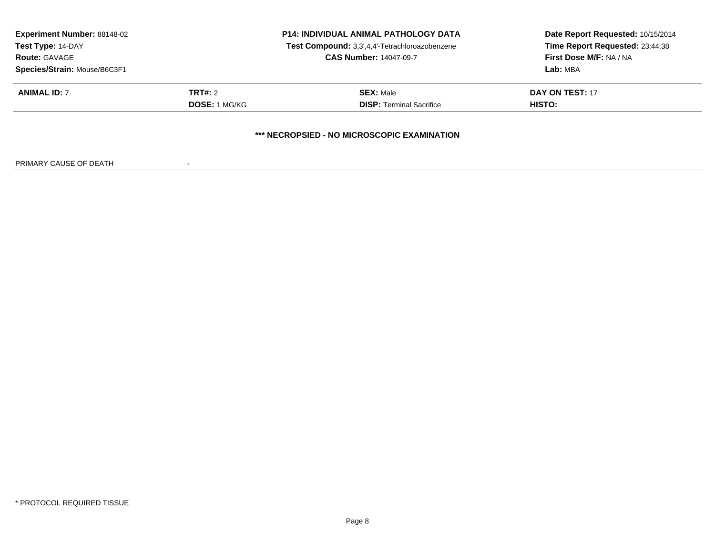| <b>Experiment Number: 88148-02</b><br>Test Type: 14-DAY<br><b>Route: GAVAGE</b> | <b>P14: INDIVIDUAL ANIMAL PATHOLOGY DATA</b><br>Test Compound: 3,3',4,4'-Tetrachloroazobenzene<br><b>CAS Number: 14047-09-7</b> |                                             | Date Report Requested: 10/15/2014<br>Time Report Requested: 23:44:38<br>First Dose M/F: NA / NA |
|---------------------------------------------------------------------------------|---------------------------------------------------------------------------------------------------------------------------------|---------------------------------------------|-------------------------------------------------------------------------------------------------|
| Species/Strain: Mouse/B6C3F1                                                    |                                                                                                                                 |                                             | Lab: MBA                                                                                        |
| <b>ANIMAL ID: 7</b>                                                             | <b>TRT#: 2</b>                                                                                                                  | <b>SEX: Male</b>                            | DAY ON TEST: 17                                                                                 |
|                                                                                 | <b>DOSE: 1 MG/KG</b>                                                                                                            | <b>DISP:</b> Terminal Sacrifice             | HISTO:                                                                                          |
|                                                                                 |                                                                                                                                 | *** NECROPSIED - NO MICROSCOPIC EXAMINATION |                                                                                                 |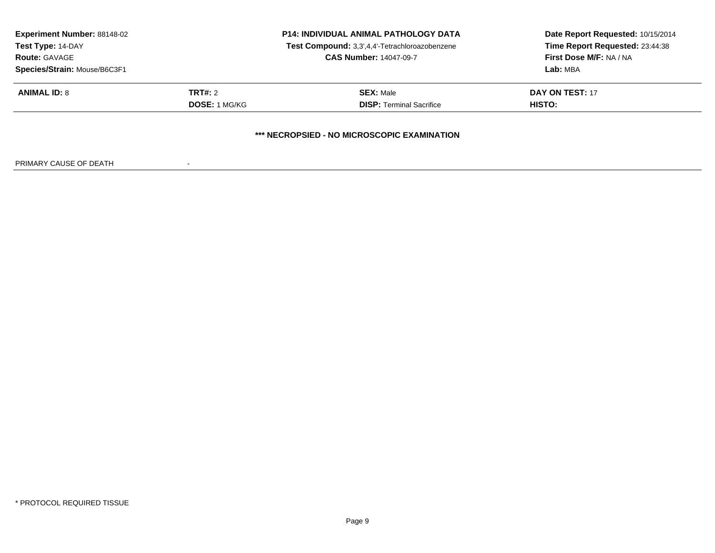| <b>Experiment Number: 88148-02</b><br>Test Type: 14-DAY<br><b>Route: GAVAGE</b><br>Species/Strain: Mouse/B6C3F1 | <b>P14: INDIVIDUAL ANIMAL PATHOLOGY DATA</b><br>Test Compound: 3,3',4,4'-Tetrachloroazobenzene<br><b>CAS Number: 14047-09-7</b> |                                                     | Date Report Requested: 10/15/2014<br>Time Report Requested: 23:44:38<br>First Dose M/F: NA / NA<br>Lab: MBA |
|-----------------------------------------------------------------------------------------------------------------|---------------------------------------------------------------------------------------------------------------------------------|-----------------------------------------------------|-------------------------------------------------------------------------------------------------------------|
| <b>ANIMAL ID: 8</b>                                                                                             | <b>TRT#:</b> 2<br><b>DOSE: 1 MG/KG</b>                                                                                          | <b>SEX: Male</b><br><b>DISP: Terminal Sacrifice</b> | <b>DAY ON TEST: 17</b><br><b>HISTO:</b>                                                                     |
|                                                                                                                 |                                                                                                                                 | *** NECROPSIED - NO MICROSCOPIC EXAMINATION         |                                                                                                             |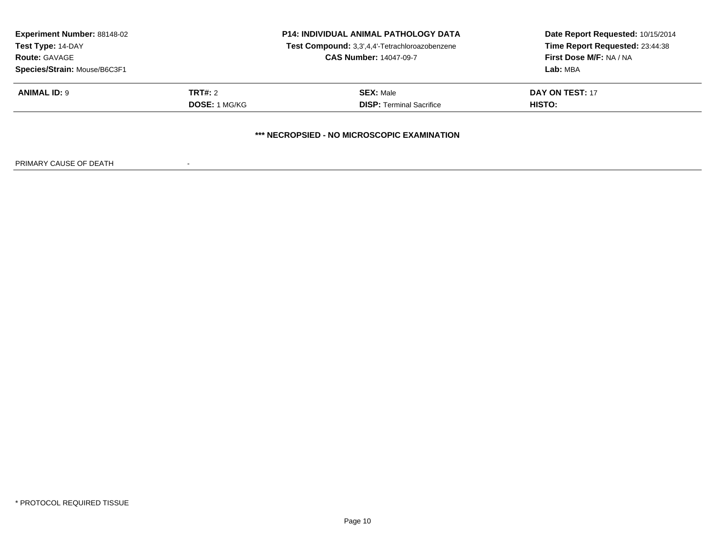| <b>Experiment Number: 88148-02</b><br>Test Type: 14-DAY<br><b>Route: GAVAGE</b><br>Species/Strain: Mouse/B6C3F1 | <b>P14: INDIVIDUAL ANIMAL PATHOLOGY DATA</b><br>Test Compound: 3,3',4,4'-Tetrachloroazobenzene<br><b>CAS Number: 14047-09-7</b> |                                                     | Date Report Requested: 10/15/2014<br>Time Report Requested: 23:44:38<br>First Dose M/F: NA / NA<br>Lab: MBA |
|-----------------------------------------------------------------------------------------------------------------|---------------------------------------------------------------------------------------------------------------------------------|-----------------------------------------------------|-------------------------------------------------------------------------------------------------------------|
| <b>ANIMAL ID: 9</b>                                                                                             | <b>TRT#:</b> 2<br><b>DOSE: 1 MG/KG</b>                                                                                          | <b>SEX: Male</b><br><b>DISP: Terminal Sacrifice</b> | <b>DAY ON TEST: 17</b><br><b>HISTO:</b>                                                                     |
|                                                                                                                 |                                                                                                                                 | *** NECROPSIED - NO MICROSCOPIC EXAMINATION         |                                                                                                             |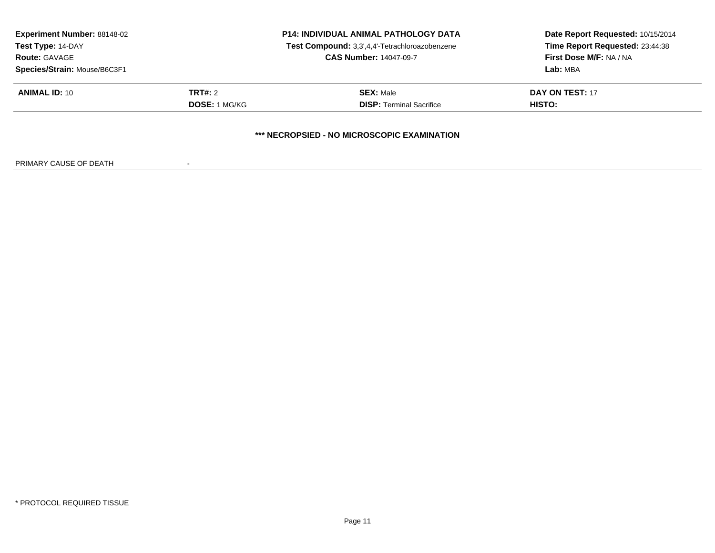| <b>Experiment Number: 88148-02</b><br>Test Type: 14-DAY<br><b>Route: GAVAGE</b><br>Species/Strain: Mouse/B6C3F1 | <b>P14: INDIVIDUAL ANIMAL PATHOLOGY DATA</b><br>Test Compound: 3,3',4,4'-Tetrachloroazobenzene<br><b>CAS Number: 14047-09-7</b> |                                                     | Date Report Requested: 10/15/2014<br>Time Report Requested: 23:44:38<br>First Dose M/F: NA / NA<br>Lab: MBA |
|-----------------------------------------------------------------------------------------------------------------|---------------------------------------------------------------------------------------------------------------------------------|-----------------------------------------------------|-------------------------------------------------------------------------------------------------------------|
| <b>ANIMAL ID: 10</b>                                                                                            | <b>TRT#:</b> 2<br><b>DOSE: 1 MG/KG</b>                                                                                          | <b>SEX: Male</b><br><b>DISP: Terminal Sacrifice</b> | <b>DAY ON TEST: 17</b><br><b>HISTO:</b>                                                                     |
|                                                                                                                 |                                                                                                                                 | *** NECROPSIED - NO MICROSCOPIC EXAMINATION         |                                                                                                             |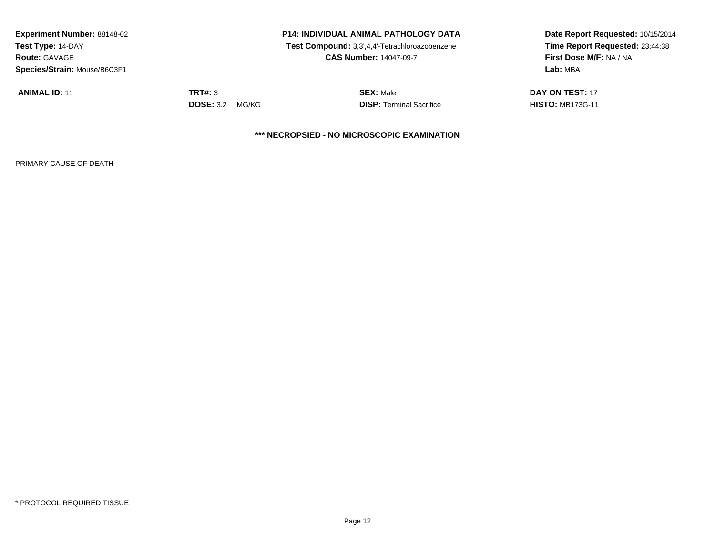| <b>Experiment Number: 88148-02</b><br>Test Type: 14-DAY | <b>P14: INDIVIDUAL ANIMAL PATHOLOGY DATA</b><br>Test Compound: 3,3',4,4'-Tetrachloroazobenzene |                                             | Date Report Requested: 10/15/2014<br>Time Report Requested: 23:44:38 |  |
|---------------------------------------------------------|------------------------------------------------------------------------------------------------|---------------------------------------------|----------------------------------------------------------------------|--|
| <b>Route: GAVAGE</b>                                    |                                                                                                | <b>CAS Number: 14047-09-7</b>               | First Dose M/F: NA / NA                                              |  |
| Species/Strain: Mouse/B6C3F1                            |                                                                                                |                                             | Lab: MBA                                                             |  |
| <b>ANIMAL ID: 11</b>                                    | <b>TRT#: 3</b>                                                                                 | <b>SEX: Male</b>                            | DAY ON TEST: 17                                                      |  |
|                                                         | <b>DOSE: 3.2</b><br>MG/KG                                                                      | <b>DISP: Terminal Sacrifice</b>             | <b>HISTO: MB173G-11</b>                                              |  |
|                                                         |                                                                                                | *** NECROPSIED - NO MICROSCOPIC EXAMINATION |                                                                      |  |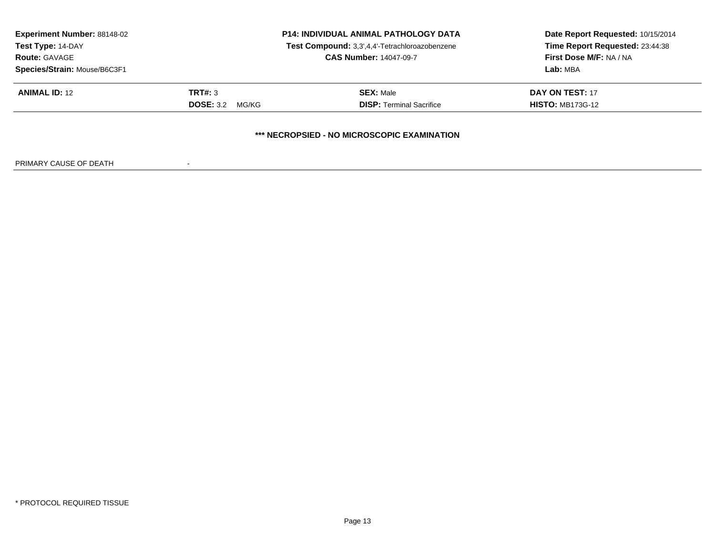| <b>Experiment Number: 88148-02</b><br><b>Test Type: 14-DAY</b> |                           | <b>P14: INDIVIDUAL ANIMAL PATHOLOGY DATA</b><br>Test Compound: 3,3',4,4'-Tetrachloroazobenzene<br><b>CAS Number: 14047-09-7</b> | Date Report Requested: 10/15/2014<br>Time Report Requested: 23:44:38 |
|----------------------------------------------------------------|---------------------------|---------------------------------------------------------------------------------------------------------------------------------|----------------------------------------------------------------------|
| <b>Route: GAVAGE</b>                                           |                           |                                                                                                                                 | First Dose M/F: NA / NA                                              |
| Species/Strain: Mouse/B6C3F1                                   |                           |                                                                                                                                 | Lab: MBA                                                             |
| <b>ANIMAL ID: 12</b>                                           | TRT#: 3                   | <b>SEX: Male</b>                                                                                                                | DAY ON TEST: 17                                                      |
|                                                                | <b>DOSE: 3.2</b><br>MG/KG | <b>DISP: Terminal Sacrifice</b>                                                                                                 | <b>HISTO: MB173G-12</b>                                              |
|                                                                |                           | *** NECROPSIED - NO MICROSCOPIC EXAMINATION                                                                                     |                                                                      |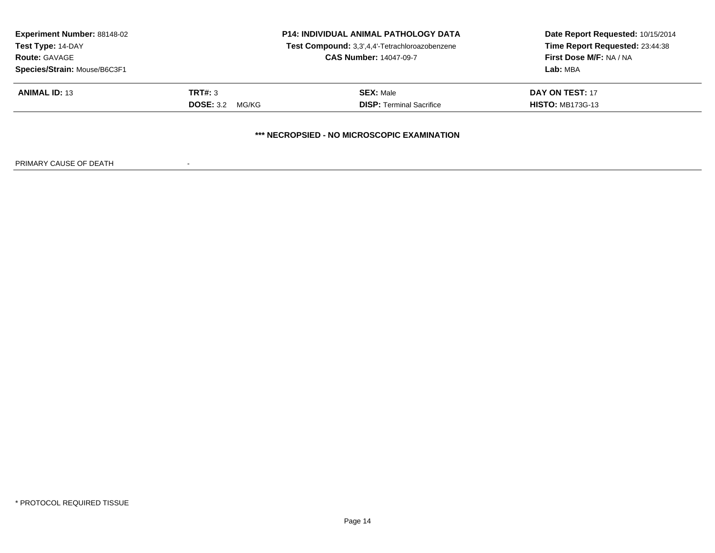| <b>Experiment Number: 88148-02</b><br><b>Test Type: 14-DAY</b> |                           | <b>P14: INDIVIDUAL ANIMAL PATHOLOGY DATA</b><br>Test Compound: 3,3',4,4'-Tetrachloroazobenzene<br><b>CAS Number: 14047-09-7</b> | Date Report Requested: 10/15/2014<br>Time Report Requested: 23:44:38 |
|----------------------------------------------------------------|---------------------------|---------------------------------------------------------------------------------------------------------------------------------|----------------------------------------------------------------------|
| <b>Route: GAVAGE</b>                                           |                           |                                                                                                                                 | First Dose M/F: NA / NA                                              |
| Species/Strain: Mouse/B6C3F1                                   |                           |                                                                                                                                 | Lab: MBA                                                             |
| <b>ANIMAL ID: 13</b>                                           | TRT#: 3                   | <b>SEX: Male</b>                                                                                                                | DAY ON TEST: 17                                                      |
|                                                                | <b>DOSE: 3.2</b><br>MG/KG | <b>DISP: Terminal Sacrifice</b>                                                                                                 | <b>HISTO: MB173G-13</b>                                              |
|                                                                |                           | *** NECROPSIED - NO MICROSCOPIC EXAMINATION                                                                                     |                                                                      |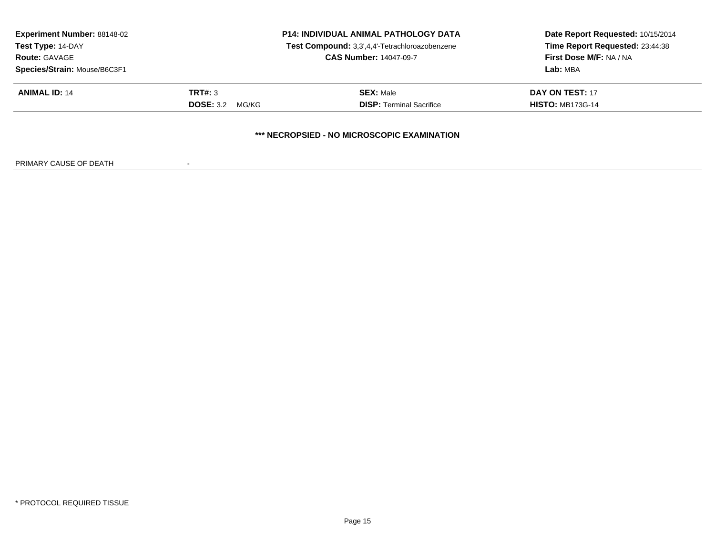| <b>Experiment Number: 88148-02</b><br><b>Test Type: 14-DAY</b> |                           | <b>P14: INDIVIDUAL ANIMAL PATHOLOGY DATA</b><br>Test Compound: 3,3',4,4'-Tetrachloroazobenzene<br><b>CAS Number: 14047-09-7</b> | Date Report Requested: 10/15/2014<br>Time Report Requested: 23:44:38 |
|----------------------------------------------------------------|---------------------------|---------------------------------------------------------------------------------------------------------------------------------|----------------------------------------------------------------------|
| <b>Route: GAVAGE</b>                                           |                           |                                                                                                                                 | First Dose M/F: NA / NA                                              |
| Species/Strain: Mouse/B6C3F1                                   |                           |                                                                                                                                 | Lab: MBA                                                             |
| <b>ANIMAL ID: 14</b>                                           | TRT#: 3                   | <b>SEX: Male</b>                                                                                                                | DAY ON TEST: 17                                                      |
|                                                                | <b>DOSE: 3.2</b><br>MG/KG | <b>DISP: Terminal Sacrifice</b>                                                                                                 | <b>HISTO: MB173G-14</b>                                              |
|                                                                |                           | *** NECROPSIED - NO MICROSCOPIC EXAMINATION                                                                                     |                                                                      |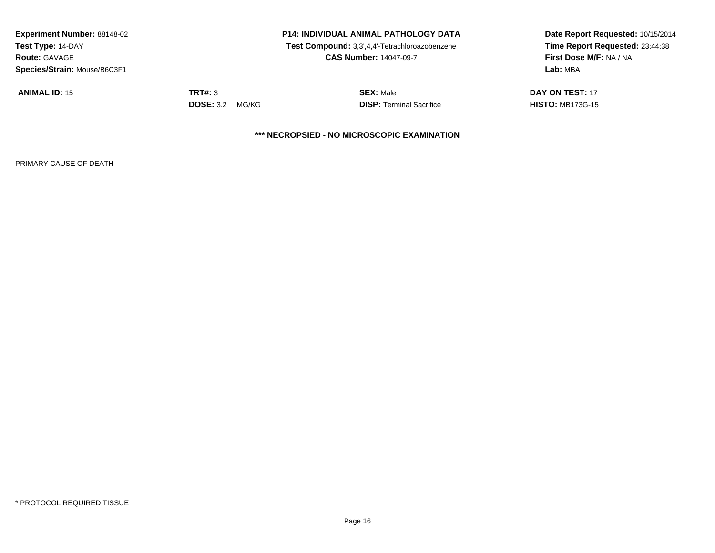| <b>Experiment Number: 88148-02</b><br><b>Test Type: 14-DAY</b> |                           | <b>P14: INDIVIDUAL ANIMAL PATHOLOGY DATA</b><br>Test Compound: 3,3',4,4'-Tetrachloroazobenzene<br><b>CAS Number: 14047-09-7</b> | Date Report Requested: 10/15/2014<br>Time Report Requested: 23:44:38 |
|----------------------------------------------------------------|---------------------------|---------------------------------------------------------------------------------------------------------------------------------|----------------------------------------------------------------------|
| <b>Route: GAVAGE</b>                                           |                           |                                                                                                                                 | First Dose M/F: NA / NA                                              |
| Species/Strain: Mouse/B6C3F1                                   |                           |                                                                                                                                 | Lab: MBA                                                             |
| <b>ANIMAL ID: 15</b>                                           | TRT#: 3                   | <b>SEX: Male</b>                                                                                                                | DAY ON TEST: 17                                                      |
|                                                                | <b>DOSE: 3.2</b><br>MG/KG | <b>DISP: Terminal Sacrifice</b>                                                                                                 | <b>HISTO: MB173G-15</b>                                              |
|                                                                |                           | *** NECROPSIED - NO MICROSCOPIC EXAMINATION                                                                                     |                                                                      |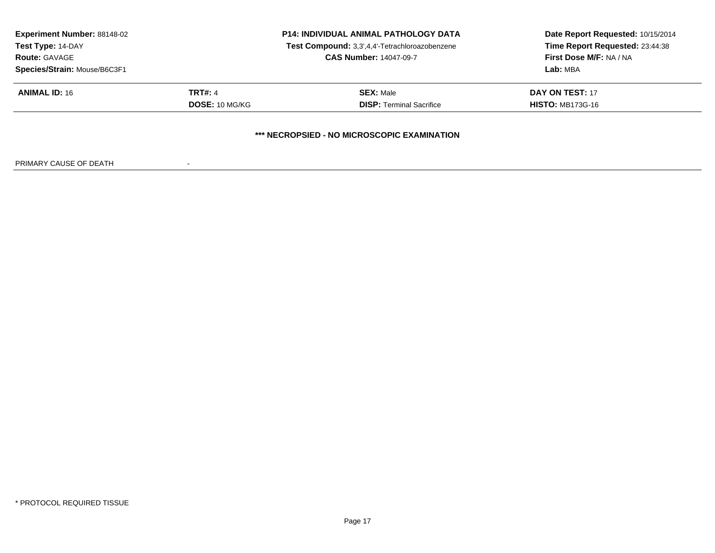|                | <b>P14: INDIVIDUAL ANIMAL PATHOLOGY DATA</b>   | Date Report Requested: 10/15/2014<br>Time Report Requested: 23:44:38 |
|----------------|------------------------------------------------|----------------------------------------------------------------------|
|                | Test Compound: 3,3',4,4'-Tetrachloroazobenzene |                                                                      |
|                | <b>CAS Number: 14047-09-7</b>                  | First Dose M/F: NA / NA                                              |
|                |                                                | Lab: MBA                                                             |
| <b>TRT#:</b> 4 | <b>SEX: Male</b>                               | DAY ON TEST: 17                                                      |
| DOSE: 10 MG/KG | <b>DISP: Terminal Sacrifice</b>                | <b>HISTO: MB173G-16</b>                                              |
|                |                                                |                                                                      |
|                |                                                | *** NECROPSIED - NO MICROSCOPIC EXAMINATION                          |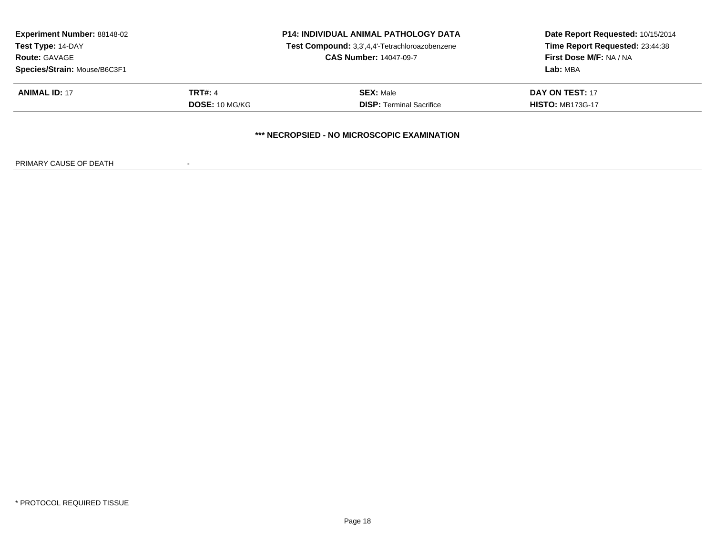| <b>Experiment Number: 88148-02</b> |                | <b>P14: INDIVIDUAL ANIMAL PATHOLOGY DATA</b>   | Date Report Requested: 10/15/2014<br>Time Report Requested: 23:44:38 |
|------------------------------------|----------------|------------------------------------------------|----------------------------------------------------------------------|
| Test Type: 14-DAY                  |                | Test Compound: 3,3',4,4'-Tetrachloroazobenzene |                                                                      |
| <b>Route: GAVAGE</b>               |                | <b>CAS Number: 14047-09-7</b>                  | First Dose M/F: NA / NA                                              |
| Species/Strain: Mouse/B6C3F1       |                |                                                | Lab: MBA                                                             |
| <b>ANIMAL ID: 17</b>               | <b>TRT#: 4</b> | <b>SEX: Male</b>                               | DAY ON TEST: 17                                                      |
|                                    | DOSE: 10 MG/KG | <b>DISP: Terminal Sacrifice</b>                | <b>HISTO: MB173G-17</b>                                              |
|                                    |                | *** NECROPSIED - NO MICROSCOPIC EXAMINATION    |                                                                      |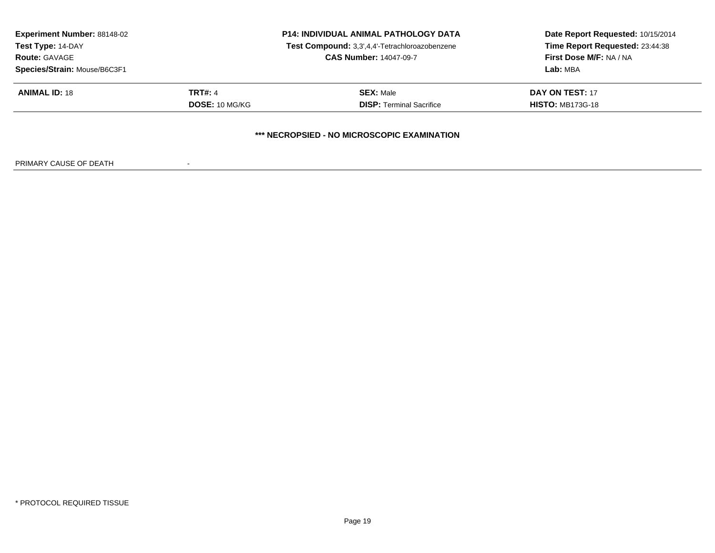|                | <b>P14: INDIVIDUAL ANIMAL PATHOLOGY DATA</b>   | Date Report Requested: 10/15/2014<br>Time Report Requested: 23:44:38 |
|----------------|------------------------------------------------|----------------------------------------------------------------------|
|                | Test Compound: 3,3',4,4'-Tetrachloroazobenzene |                                                                      |
|                | <b>CAS Number: 14047-09-7</b>                  | First Dose M/F: NA / NA                                              |
|                |                                                | Lab: MBA                                                             |
| <b>TRT#:</b> 4 | <b>SEX: Male</b>                               | DAY ON TEST: 17                                                      |
| DOSE: 10 MG/KG | <b>DISP: Terminal Sacrifice</b>                | <b>HISTO: MB173G-18</b>                                              |
|                |                                                |                                                                      |
|                |                                                | *** NECROPSIED - NO MICROSCOPIC EXAMINATION                          |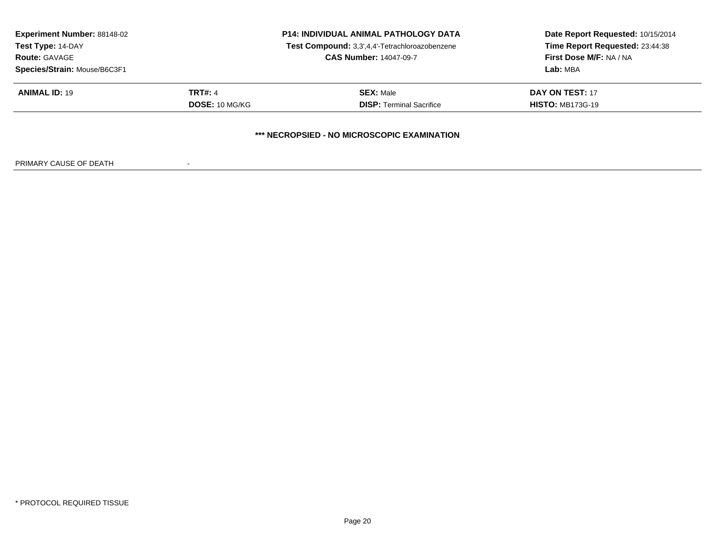| <b>Experiment Number: 88148-02</b> |                | <b>P14: INDIVIDUAL ANIMAL PATHOLOGY DATA</b>   | Date Report Requested: 10/15/2014<br>Time Report Requested: 23:44:38 |
|------------------------------------|----------------|------------------------------------------------|----------------------------------------------------------------------|
| Test Type: 14-DAY                  |                | Test Compound: 3,3',4,4'-Tetrachloroazobenzene |                                                                      |
| <b>Route: GAVAGE</b>               |                | <b>CAS Number: 14047-09-7</b>                  | First Dose M/F: NA / NA                                              |
| Species/Strain: Mouse/B6C3F1       |                |                                                | Lab: MBA                                                             |
| <b>ANIMAL ID: 19</b>               | <b>TRT#:</b> 4 | <b>SEX: Male</b>                               | DAY ON TEST: 17                                                      |
|                                    | DOSE: 10 MG/KG | <b>DISP: Terminal Sacrifice</b>                | <b>HISTO: MB173G-19</b>                                              |
|                                    |                |                                                |                                                                      |
|                                    |                | *** NECROPSIED - NO MICROSCOPIC EXAMINATION    |                                                                      |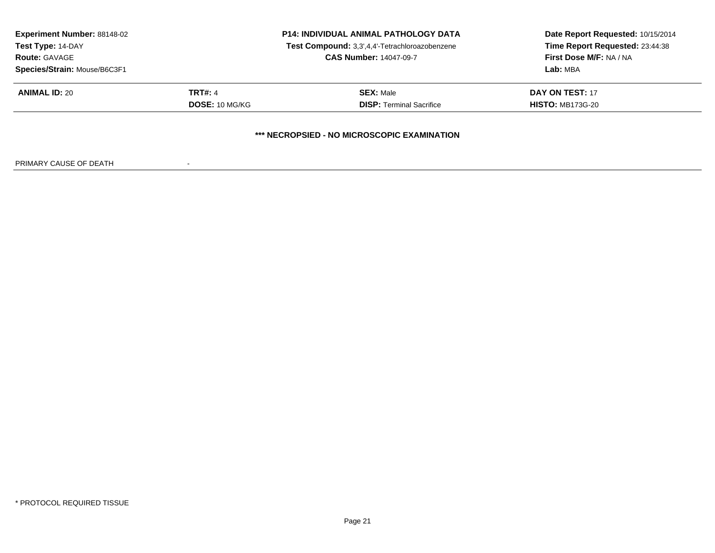|                | <b>P14: INDIVIDUAL ANIMAL PATHOLOGY DATA</b>   | Date Report Requested: 10/15/2014<br>Time Report Requested: 23:44:38 |
|----------------|------------------------------------------------|----------------------------------------------------------------------|
|                | Test Compound: 3,3',4,4'-Tetrachloroazobenzene |                                                                      |
|                | <b>CAS Number: 14047-09-7</b>                  | First Dose M/F: NA / NA                                              |
|                |                                                | Lab: MBA                                                             |
| <b>TRT#:</b> 4 | <b>SEX: Male</b>                               | DAY ON TEST: 17                                                      |
| DOSE: 10 MG/KG | <b>DISP: Terminal Sacrifice</b>                | <b>HISTO: MB173G-20</b>                                              |
|                |                                                |                                                                      |
|                |                                                | *** NECROPSIED - NO MICROSCOPIC EXAMINATION                          |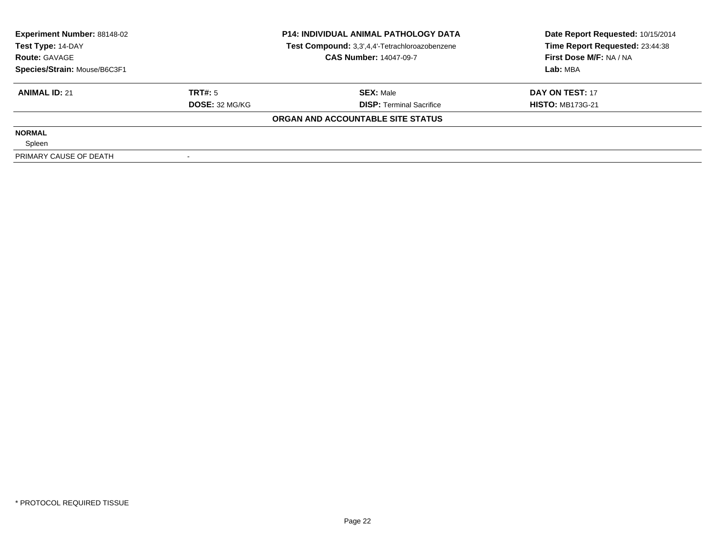| <b>Experiment Number: 88148-02</b><br>Test Type: 14-DAY |                | <b>P14: INDIVIDUAL ANIMAL PATHOLOGY DATA</b><br>Test Compound: 3,3',4,4'-Tetrachloroazobenzene | Date Report Requested: 10/15/2014<br>Time Report Requested: 23:44:38 |
|---------------------------------------------------------|----------------|------------------------------------------------------------------------------------------------|----------------------------------------------------------------------|
| <b>Route: GAVAGE</b>                                    |                | <b>CAS Number: 14047-09-7</b>                                                                  | First Dose M/F: NA / NA                                              |
| Species/Strain: Mouse/B6C3F1                            |                |                                                                                                | Lab: MBA                                                             |
| <b>ANIMAL ID: 21</b>                                    | TRT#: 5        | <b>SEX: Male</b>                                                                               | DAY ON TEST: 17                                                      |
|                                                         | DOSE: 32 MG/KG | <b>DISP: Terminal Sacrifice</b>                                                                | <b>HISTO: MB173G-21</b>                                              |
|                                                         |                | ORGAN AND ACCOUNTABLE SITE STATUS                                                              |                                                                      |
| <b>NORMAL</b>                                           |                |                                                                                                |                                                                      |
| Spleen                                                  |                |                                                                                                |                                                                      |
| PRIMARY CAUSE OF DEATH                                  |                |                                                                                                |                                                                      |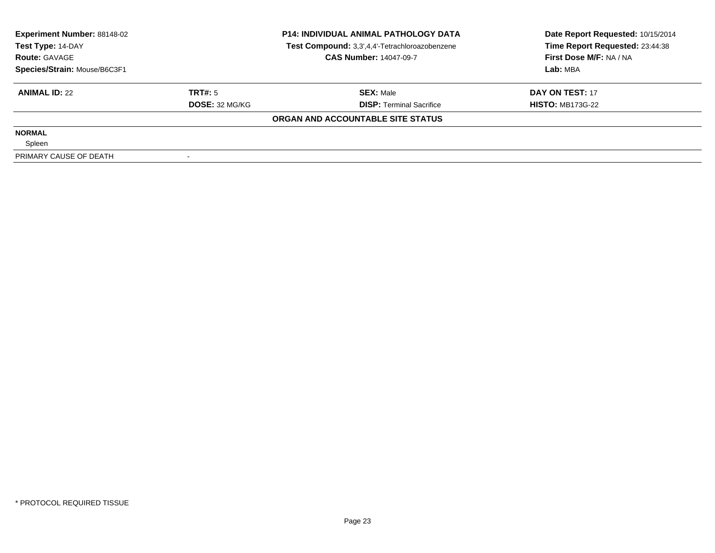| <b>Experiment Number: 88148-02</b><br>Test Type: 14-DAY |                | <b>P14: INDIVIDUAL ANIMAL PATHOLOGY DATA</b><br>Test Compound: 3,3',4,4'-Tetrachloroazobenzene | Date Report Requested: 10/15/2014<br>Time Report Requested: 23:44:38 |
|---------------------------------------------------------|----------------|------------------------------------------------------------------------------------------------|----------------------------------------------------------------------|
| <b>Route: GAVAGE</b>                                    |                | <b>CAS Number: 14047-09-7</b>                                                                  | First Dose M/F: NA / NA                                              |
| Species/Strain: Mouse/B6C3F1                            |                |                                                                                                | Lab: MBA                                                             |
| <b>ANIMAL ID: 22</b>                                    | TRT#: 5        | <b>SEX: Male</b>                                                                               | DAY ON TEST: 17                                                      |
|                                                         | DOSE: 32 MG/KG | <b>DISP: Terminal Sacrifice</b>                                                                | <b>HISTO: MB173G-22</b>                                              |
|                                                         |                | ORGAN AND ACCOUNTABLE SITE STATUS                                                              |                                                                      |
| <b>NORMAL</b>                                           |                |                                                                                                |                                                                      |
| Spleen                                                  |                |                                                                                                |                                                                      |
| PRIMARY CAUSE OF DEATH                                  |                |                                                                                                |                                                                      |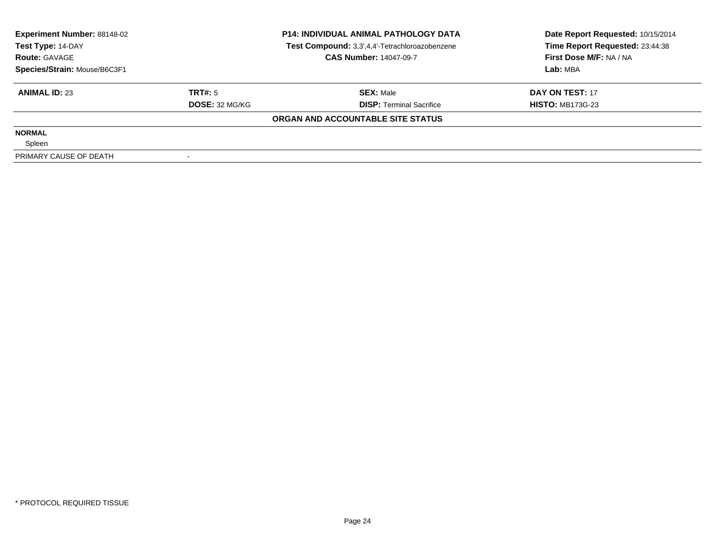| <b>Experiment Number: 88148-02</b><br>Test Type: 14-DAY |                | <b>P14: INDIVIDUAL ANIMAL PATHOLOGY DATA</b><br>Test Compound: 3,3',4,4'-Tetrachloroazobenzene | Date Report Requested: 10/15/2014<br>Time Report Requested: 23:44:38 |
|---------------------------------------------------------|----------------|------------------------------------------------------------------------------------------------|----------------------------------------------------------------------|
| <b>Route: GAVAGE</b>                                    |                | <b>CAS Number: 14047-09-7</b>                                                                  | First Dose M/F: NA / NA                                              |
| Species/Strain: Mouse/B6C3F1                            |                |                                                                                                | Lab: MBA                                                             |
| <b>ANIMAL ID: 23</b>                                    | TRT#: 5        | <b>SEX: Male</b>                                                                               | DAY ON TEST: 17                                                      |
|                                                         | DOSE: 32 MG/KG | <b>DISP: Terminal Sacrifice</b>                                                                | <b>HISTO: MB173G-23</b>                                              |
|                                                         |                | ORGAN AND ACCOUNTABLE SITE STATUS                                                              |                                                                      |
| <b>NORMAL</b>                                           |                |                                                                                                |                                                                      |
| Spleen                                                  |                |                                                                                                |                                                                      |
| PRIMARY CAUSE OF DEATH                                  |                |                                                                                                |                                                                      |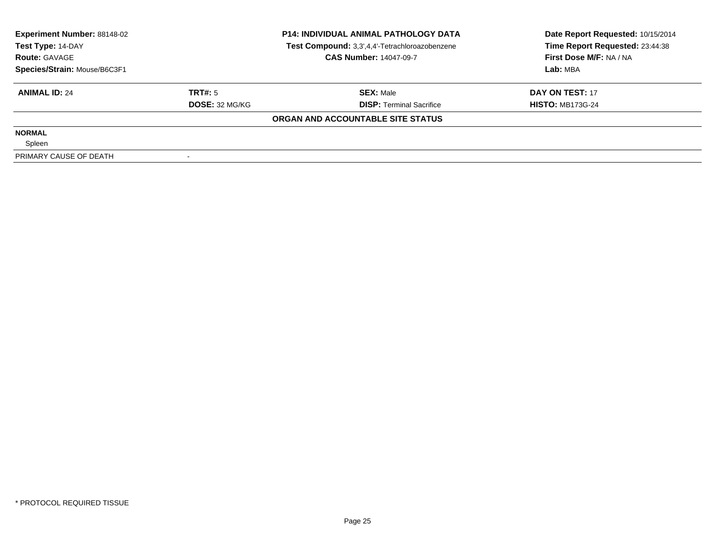| <b>Experiment Number: 88148-02</b><br>Test Type: 14-DAY<br><b>Route: GAVAGE</b><br>Species/Strain: Mouse/B6C3F1 |                | <b>P14: INDIVIDUAL ANIMAL PATHOLOGY DATA</b><br>Test Compound: 3,3',4,4'-Tetrachloroazobenzene | Date Report Requested: 10/15/2014<br>Time Report Requested: 23:44:38 |
|-----------------------------------------------------------------------------------------------------------------|----------------|------------------------------------------------------------------------------------------------|----------------------------------------------------------------------|
|                                                                                                                 |                | <b>CAS Number: 14047-09-7</b>                                                                  | First Dose M/F: NA / NA                                              |
|                                                                                                                 |                |                                                                                                | Lab: MBA                                                             |
| <b>ANIMAL ID: 24</b>                                                                                            | TRT#: 5        | <b>SEX: Male</b>                                                                               | DAY ON TEST: 17                                                      |
|                                                                                                                 | DOSE: 32 MG/KG | <b>DISP: Terminal Sacrifice</b>                                                                | <b>HISTO: MB173G-24</b>                                              |
|                                                                                                                 |                | ORGAN AND ACCOUNTABLE SITE STATUS                                                              |                                                                      |
| <b>NORMAL</b>                                                                                                   |                |                                                                                                |                                                                      |
| Spleen                                                                                                          |                |                                                                                                |                                                                      |
| PRIMARY CAUSE OF DEATH                                                                                          |                |                                                                                                |                                                                      |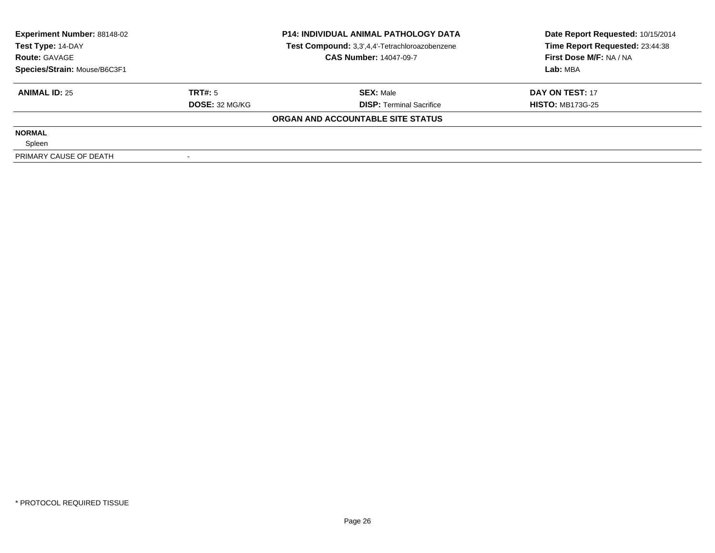| <b>Experiment Number: 88148-02</b><br>Test Type: 14-DAY<br><b>Route: GAVAGE</b><br>Species/Strain: Mouse/B6C3F1 |                | <b>P14: INDIVIDUAL ANIMAL PATHOLOGY DATA</b><br>Test Compound: 3,3',4,4'-Tetrachloroazobenzene | Date Report Requested: 10/15/2014<br>Time Report Requested: 23:44:38 |
|-----------------------------------------------------------------------------------------------------------------|----------------|------------------------------------------------------------------------------------------------|----------------------------------------------------------------------|
|                                                                                                                 |                | <b>CAS Number: 14047-09-7</b>                                                                  | First Dose M/F: NA / NA                                              |
|                                                                                                                 |                |                                                                                                | Lab: MBA                                                             |
| <b>ANIMAL ID: 25</b>                                                                                            | TRT#: 5        | <b>SEX: Male</b>                                                                               | DAY ON TEST: 17                                                      |
|                                                                                                                 | DOSE: 32 MG/KG | <b>DISP: Terminal Sacrifice</b>                                                                | <b>HISTO: MB173G-25</b>                                              |
|                                                                                                                 |                | ORGAN AND ACCOUNTABLE SITE STATUS                                                              |                                                                      |
| <b>NORMAL</b>                                                                                                   |                |                                                                                                |                                                                      |
| Spleen                                                                                                          |                |                                                                                                |                                                                      |
| PRIMARY CAUSE OF DEATH                                                                                          |                |                                                                                                |                                                                      |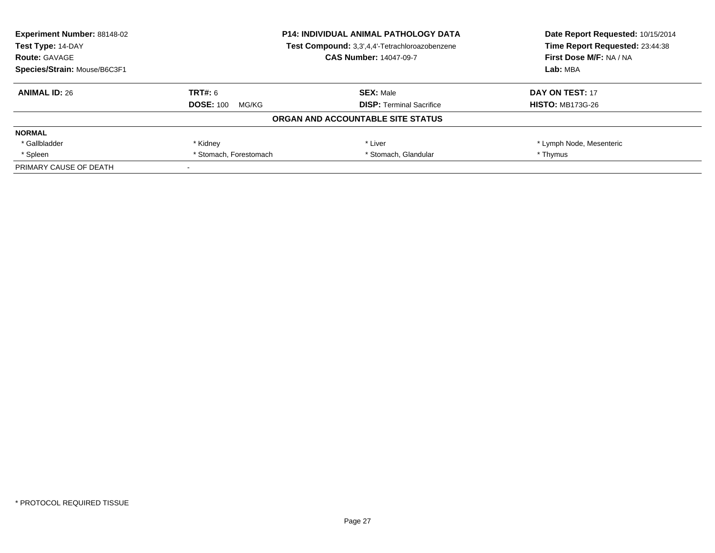| <b>Experiment Number: 88148-02</b> |                                                | <b>P14: INDIVIDUAL ANIMAL PATHOLOGY DATA</b> | Date Report Requested: 10/15/2014 |
|------------------------------------|------------------------------------------------|----------------------------------------------|-----------------------------------|
| Test Type: 14-DAY                  | Test Compound: 3,3',4,4'-Tetrachloroazobenzene |                                              | Time Report Requested: 23:44:38   |
| <b>Route: GAVAGE</b>               |                                                | <b>CAS Number: 14047-09-7</b>                | First Dose M/F: NA / NA           |
| Species/Strain: Mouse/B6C3F1       |                                                |                                              | Lab: MBA                          |
| <b>ANIMAL ID: 26</b>               | TRT#: 6                                        | <b>SEX: Male</b>                             | DAY ON TEST: 17                   |
|                                    | <b>DOSE: 100</b><br>MG/KG                      | <b>DISP:</b> Terminal Sacrifice              | <b>HISTO: MB173G-26</b>           |
|                                    |                                                | ORGAN AND ACCOUNTABLE SITE STATUS            |                                   |
| <b>NORMAL</b>                      |                                                |                                              |                                   |
| * Gallbladder                      | * Kidney                                       | * Liver                                      | * Lymph Node, Mesenteric          |
| * Spleen                           | * Stomach, Forestomach                         | * Stomach, Glandular                         | * Thymus                          |
| PRIMARY CAUSE OF DEATH             |                                                |                                              |                                   |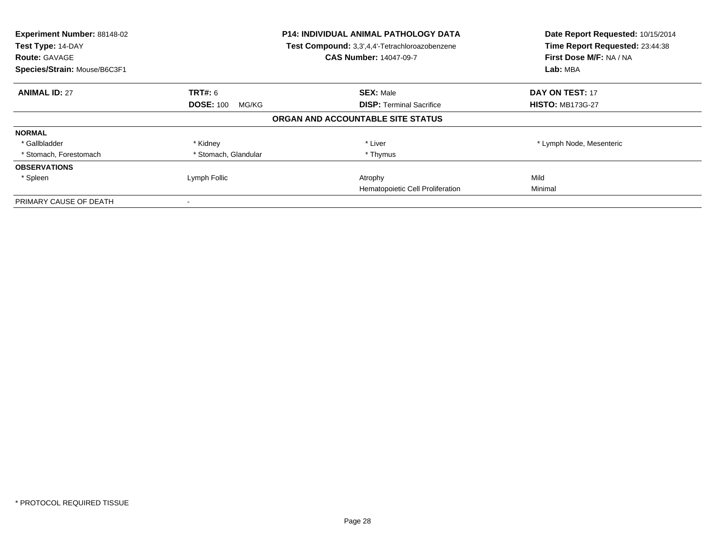| Experiment Number: 88148-02<br>Test Type: 14-DAY<br><b>Route: GAVAGE</b><br>Species/Strain: Mouse/B6C3F1 |                           | <b>P14: INDIVIDUAL ANIMAL PATHOLOGY DATA</b><br>Test Compound: 3,3',4,4'-Tetrachloroazobenzene<br><b>CAS Number: 14047-09-7</b> | Date Report Requested: 10/15/2014<br>Time Report Requested: 23:44:38<br>First Dose M/F: NA / NA<br>Lab: MBA |
|----------------------------------------------------------------------------------------------------------|---------------------------|---------------------------------------------------------------------------------------------------------------------------------|-------------------------------------------------------------------------------------------------------------|
| <b>ANIMAL ID: 27</b>                                                                                     | <b>TRT#: 6</b>            | <b>SEX: Male</b>                                                                                                                | <b>DAY ON TEST: 17</b>                                                                                      |
|                                                                                                          | <b>DOSE: 100</b><br>MG/KG | <b>DISP:</b> Terminal Sacrifice                                                                                                 | <b>HISTO: MB173G-27</b>                                                                                     |
|                                                                                                          |                           | ORGAN AND ACCOUNTABLE SITE STATUS                                                                                               |                                                                                                             |
| <b>NORMAL</b>                                                                                            |                           |                                                                                                                                 |                                                                                                             |
| * Gallbladder                                                                                            | * Kidney                  | * Liver                                                                                                                         | * Lymph Node, Mesenteric                                                                                    |
| * Stomach, Forestomach                                                                                   | * Stomach, Glandular      | * Thymus                                                                                                                        |                                                                                                             |
| <b>OBSERVATIONS</b>                                                                                      |                           |                                                                                                                                 |                                                                                                             |
| * Spleen                                                                                                 | Lymph Follic              | Atrophy                                                                                                                         | Mild                                                                                                        |
|                                                                                                          |                           | Hematopoietic Cell Proliferation                                                                                                | Minimal                                                                                                     |
| PRIMARY CAUSE OF DEATH                                                                                   |                           |                                                                                                                                 |                                                                                                             |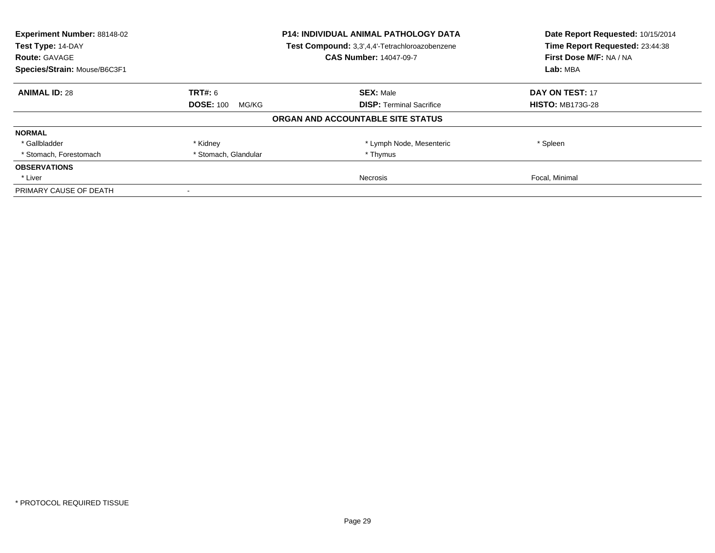| Experiment Number: 88148-02<br>Test Type: 14-DAY<br><b>Route: GAVAGE</b> | <b>P14: INDIVIDUAL ANIMAL PATHOLOGY DATA</b><br>Test Compound: 3,3',4,4'-Tetrachloroazobenzene<br><b>CAS Number: 14047-09-7</b> |                                   | Date Report Requested: 10/15/2014<br>Time Report Requested: 23:44:38<br>First Dose M/F: NA / NA |
|--------------------------------------------------------------------------|---------------------------------------------------------------------------------------------------------------------------------|-----------------------------------|-------------------------------------------------------------------------------------------------|
| Species/Strain: Mouse/B6C3F1                                             |                                                                                                                                 |                                   | Lab: MBA                                                                                        |
| <b>ANIMAL ID: 28</b>                                                     | <b>TRT#: 6</b>                                                                                                                  | <b>SEX: Male</b>                  | <b>DAY ON TEST: 17</b>                                                                          |
|                                                                          | <b>DOSE: 100</b><br>MG/KG                                                                                                       | <b>DISP:</b> Terminal Sacrifice   | <b>HISTO: MB173G-28</b>                                                                         |
|                                                                          |                                                                                                                                 | ORGAN AND ACCOUNTABLE SITE STATUS |                                                                                                 |
| <b>NORMAL</b>                                                            |                                                                                                                                 |                                   |                                                                                                 |
| * Gallbladder                                                            | * Kidney                                                                                                                        | * Lymph Node, Mesenteric          | * Spleen                                                                                        |
| * Stomach, Forestomach                                                   | * Stomach, Glandular                                                                                                            | * Thymus                          |                                                                                                 |
| <b>OBSERVATIONS</b>                                                      |                                                                                                                                 |                                   |                                                                                                 |
| * Liver                                                                  |                                                                                                                                 | Necrosis                          | Focal, Minimal                                                                                  |
| PRIMARY CAUSE OF DEATH                                                   |                                                                                                                                 |                                   |                                                                                                 |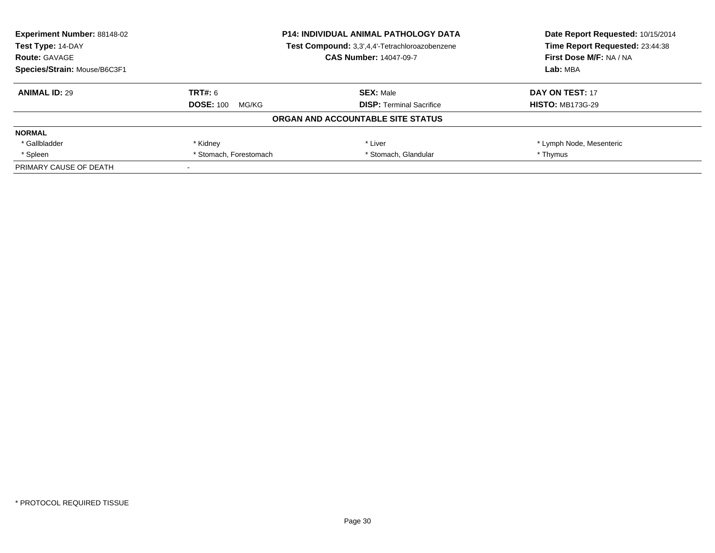| <b>Experiment Number: 88148-02</b> |                                                | <b>P14: INDIVIDUAL ANIMAL PATHOLOGY DATA</b> | Date Report Requested: 10/15/2014 |
|------------------------------------|------------------------------------------------|----------------------------------------------|-----------------------------------|
| Test Type: 14-DAY                  | Test Compound: 3,3',4,4'-Tetrachloroazobenzene |                                              | Time Report Requested: 23:44:38   |
| <b>Route: GAVAGE</b>               |                                                | <b>CAS Number: 14047-09-7</b>                | First Dose M/F: NA / NA           |
| Species/Strain: Mouse/B6C3F1       |                                                |                                              | Lab: MBA                          |
| <b>ANIMAL ID: 29</b>               | TRT#: 6                                        | <b>SEX: Male</b>                             | DAY ON TEST: 17                   |
|                                    | <b>DOSE: 100</b><br>MG/KG                      | <b>DISP:</b> Terminal Sacrifice              | <b>HISTO: MB173G-29</b>           |
|                                    |                                                | ORGAN AND ACCOUNTABLE SITE STATUS            |                                   |
| <b>NORMAL</b>                      |                                                |                                              |                                   |
| * Gallbladder                      | * Kidney                                       | * Liver                                      | * Lymph Node, Mesenteric          |
| * Spleen                           | * Stomach, Forestomach                         | * Stomach, Glandular                         | * Thymus                          |
| PRIMARY CAUSE OF DEATH             |                                                |                                              |                                   |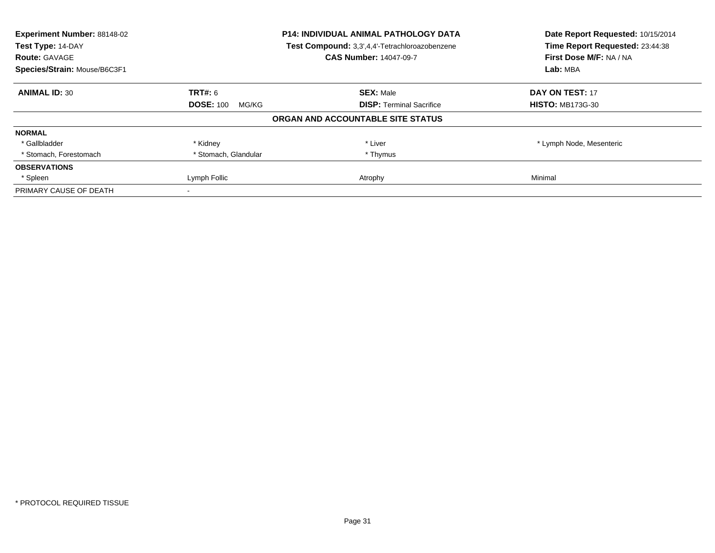| <b>Experiment Number: 88148-02</b><br>Test Type: 14-DAY<br><b>Route: GAVAGE</b> |                           | <b>P14: INDIVIDUAL ANIMAL PATHOLOGY DATA</b><br>Test Compound: 3,3',4,4'-Tetrachloroazobenzene<br><b>CAS Number: 14047-09-7</b> | Date Report Requested: 10/15/2014<br>Time Report Requested: 23:44:38<br>First Dose M/F: NA / NA |
|---------------------------------------------------------------------------------|---------------------------|---------------------------------------------------------------------------------------------------------------------------------|-------------------------------------------------------------------------------------------------|
| Species/Strain: Mouse/B6C3F1                                                    |                           |                                                                                                                                 | Lab: MBA                                                                                        |
| <b>ANIMAL ID: 30</b>                                                            | TRT#: 6                   | <b>SEX: Male</b>                                                                                                                | DAY ON TEST: 17                                                                                 |
|                                                                                 | <b>DOSE: 100</b><br>MG/KG | <b>DISP:</b> Terminal Sacrifice                                                                                                 | <b>HISTO: MB173G-30</b>                                                                         |
|                                                                                 |                           | ORGAN AND ACCOUNTABLE SITE STATUS                                                                                               |                                                                                                 |
| <b>NORMAL</b>                                                                   |                           |                                                                                                                                 |                                                                                                 |
| * Gallbladder                                                                   | * Kidney                  | * Liver                                                                                                                         | * Lymph Node, Mesenteric                                                                        |
| * Stomach, Forestomach                                                          | * Stomach, Glandular      | * Thymus                                                                                                                        |                                                                                                 |
| <b>OBSERVATIONS</b>                                                             |                           |                                                                                                                                 |                                                                                                 |
| * Spleen                                                                        | Lymph Follic              | Atrophy                                                                                                                         | Minimal                                                                                         |
| PRIMARY CAUSE OF DEATH                                                          |                           |                                                                                                                                 |                                                                                                 |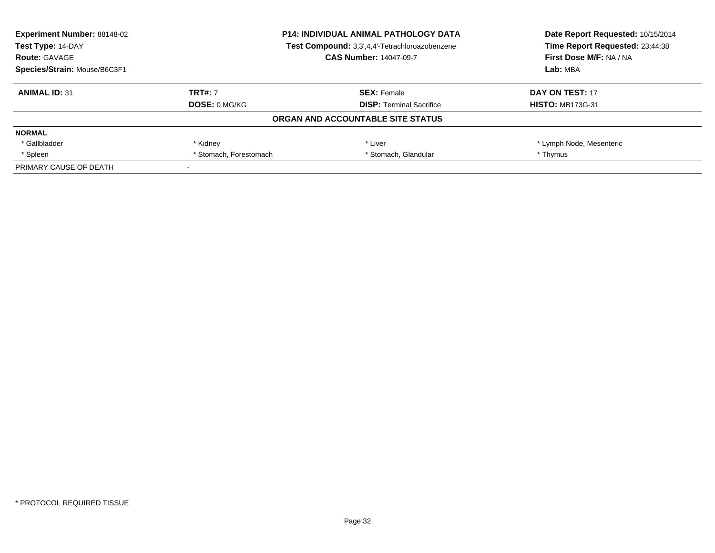| <b>Experiment Number: 88148-02</b> |                                                | <b>P14: INDIVIDUAL ANIMAL PATHOLOGY DATA</b> | Date Report Requested: 10/15/2014<br>Time Report Requested: 23:44:38 |
|------------------------------------|------------------------------------------------|----------------------------------------------|----------------------------------------------------------------------|
| Test Type: 14-DAY                  | Test Compound: 3,3',4,4'-Tetrachloroazobenzene |                                              |                                                                      |
| <b>Route: GAVAGE</b>               |                                                | <b>CAS Number: 14047-09-7</b>                | First Dose M/F: NA / NA                                              |
| Species/Strain: Mouse/B6C3F1       |                                                |                                              | Lab: MBA                                                             |
| <b>ANIMAL ID: 31</b>               | <b>TRT#: 7</b>                                 | <b>SEX: Female</b>                           | DAY ON TEST: 17                                                      |
|                                    | <b>DOSE: 0 MG/KG</b>                           | <b>DISP:</b> Terminal Sacrifice              | <b>HISTO: MB173G-31</b>                                              |
|                                    |                                                | ORGAN AND ACCOUNTABLE SITE STATUS            |                                                                      |
| <b>NORMAL</b>                      |                                                |                                              |                                                                      |
| * Gallbladder                      | * Kidney                                       | * Liver                                      | * Lymph Node, Mesenteric                                             |
| * Spleen                           | * Stomach, Forestomach                         | * Stomach, Glandular                         | * Thymus                                                             |
| PRIMARY CAUSE OF DEATH             |                                                |                                              |                                                                      |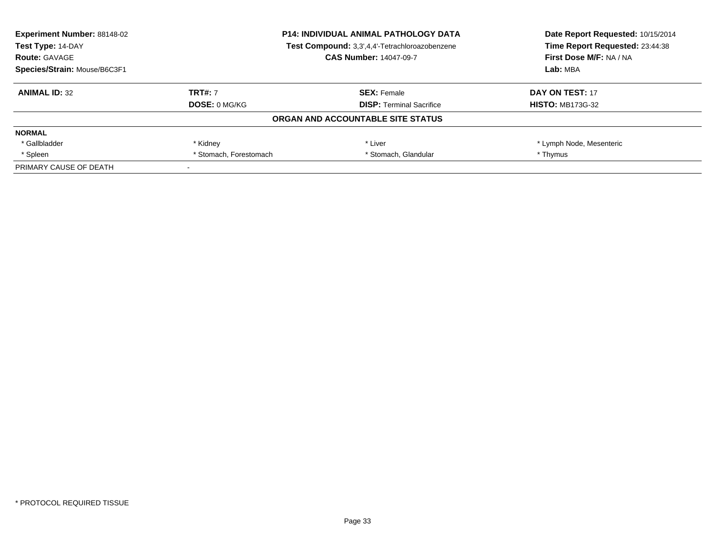| <b>Experiment Number: 88148-02</b> |                                                | <b>P14: INDIVIDUAL ANIMAL PATHOLOGY DATA</b> | Date Report Requested: 10/15/2014 |
|------------------------------------|------------------------------------------------|----------------------------------------------|-----------------------------------|
| Test Type: 14-DAY                  | Test Compound: 3,3',4,4'-Tetrachloroazobenzene |                                              | Time Report Requested: 23:44:38   |
| <b>Route: GAVAGE</b>               |                                                | <b>CAS Number: 14047-09-7</b>                | First Dose M/F: NA / NA           |
| Species/Strain: Mouse/B6C3F1       |                                                |                                              | Lab: MBA                          |
| <b>ANIMAL ID: 32</b>               | <b>TRT#: 7</b>                                 | <b>SEX: Female</b>                           | DAY ON TEST: 17                   |
|                                    | <b>DOSE: 0 MG/KG</b>                           | <b>DISP:</b> Terminal Sacrifice              | <b>HISTO: MB173G-32</b>           |
|                                    |                                                | ORGAN AND ACCOUNTABLE SITE STATUS            |                                   |
| <b>NORMAL</b>                      |                                                |                                              |                                   |
| * Gallbladder                      | * Kidney                                       | * Liver                                      | * Lymph Node, Mesenteric          |
| * Spleen                           | * Stomach, Forestomach                         | * Stomach, Glandular                         | * Thymus                          |
| PRIMARY CAUSE OF DEATH             |                                                |                                              |                                   |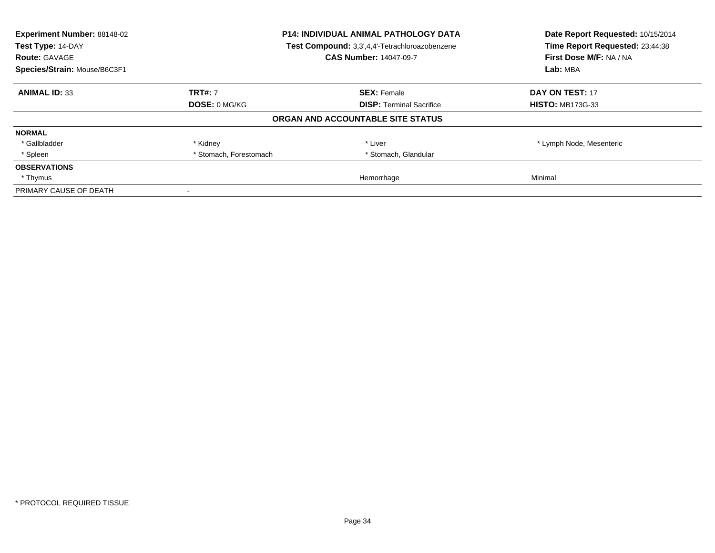| Experiment Number: 88148-02<br>Test Type: 14-DAY<br><b>Route: GAVAGE</b> | <b>P14: INDIVIDUAL ANIMAL PATHOLOGY DATA</b><br>Test Compound: 3,3',4,4'-Tetrachloroazobenzene<br><b>CAS Number: 14047-09-7</b> |                                   | Date Report Requested: 10/15/2014<br>Time Report Requested: 23:44:38<br>First Dose M/F: NA / NA |
|--------------------------------------------------------------------------|---------------------------------------------------------------------------------------------------------------------------------|-----------------------------------|-------------------------------------------------------------------------------------------------|
| Species/Strain: Mouse/B6C3F1                                             |                                                                                                                                 |                                   | Lab: MBA                                                                                        |
| <b>ANIMAL ID: 33</b>                                                     | <b>TRT#: 7</b>                                                                                                                  | <b>SEX: Female</b>                | <b>DAY ON TEST: 17</b>                                                                          |
|                                                                          | <b>DOSE: 0 MG/KG</b>                                                                                                            | <b>DISP:</b> Terminal Sacrifice   | <b>HISTO: MB173G-33</b>                                                                         |
|                                                                          |                                                                                                                                 | ORGAN AND ACCOUNTABLE SITE STATUS |                                                                                                 |
| <b>NORMAL</b>                                                            |                                                                                                                                 |                                   |                                                                                                 |
| * Gallbladder                                                            | * Kidney                                                                                                                        | * Liver                           | * Lymph Node, Mesenteric                                                                        |
| * Spleen                                                                 | * Stomach, Forestomach                                                                                                          | * Stomach, Glandular              |                                                                                                 |
| <b>OBSERVATIONS</b>                                                      |                                                                                                                                 |                                   |                                                                                                 |
| * Thymus                                                                 |                                                                                                                                 | Hemorrhage                        | Minimal                                                                                         |
| PRIMARY CAUSE OF DEATH                                                   |                                                                                                                                 |                                   |                                                                                                 |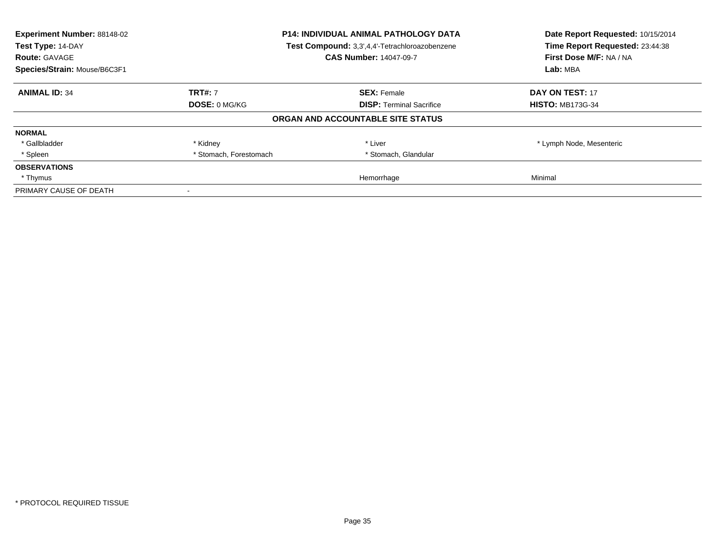| <b>Experiment Number: 88148-02</b><br>Test Type: 14-DAY | <b>P14: INDIVIDUAL ANIMAL PATHOLOGY DATA</b><br>Test Compound: 3,3',4,4'-Tetrachloroazobenzene |                                   | Date Report Requested: 10/15/2014<br>Time Report Requested: 23:44:38 |
|---------------------------------------------------------|------------------------------------------------------------------------------------------------|-----------------------------------|----------------------------------------------------------------------|
| <b>Route: GAVAGE</b>                                    |                                                                                                | <b>CAS Number: 14047-09-7</b>     | First Dose M/F: NA / NA                                              |
| Species/Strain: Mouse/B6C3F1                            |                                                                                                |                                   | Lab: MBA                                                             |
| <b>ANIMAL ID: 34</b>                                    | <b>TRT#: 7</b>                                                                                 | <b>SEX: Female</b>                | DAY ON TEST: 17                                                      |
|                                                         | DOSE: 0 MG/KG                                                                                  | <b>DISP:</b> Terminal Sacrifice   | <b>HISTO: MB173G-34</b>                                              |
|                                                         |                                                                                                | ORGAN AND ACCOUNTABLE SITE STATUS |                                                                      |
| <b>NORMAL</b>                                           |                                                                                                |                                   |                                                                      |
| * Gallbladder                                           | * Kidney                                                                                       | * Liver                           | * Lymph Node, Mesenteric                                             |
| * Spleen                                                | * Stomach, Forestomach                                                                         | * Stomach, Glandular              |                                                                      |
| <b>OBSERVATIONS</b>                                     |                                                                                                |                                   |                                                                      |
| * Thymus                                                |                                                                                                | Hemorrhage                        | Minimal                                                              |
| PRIMARY CAUSE OF DEATH                                  |                                                                                                |                                   |                                                                      |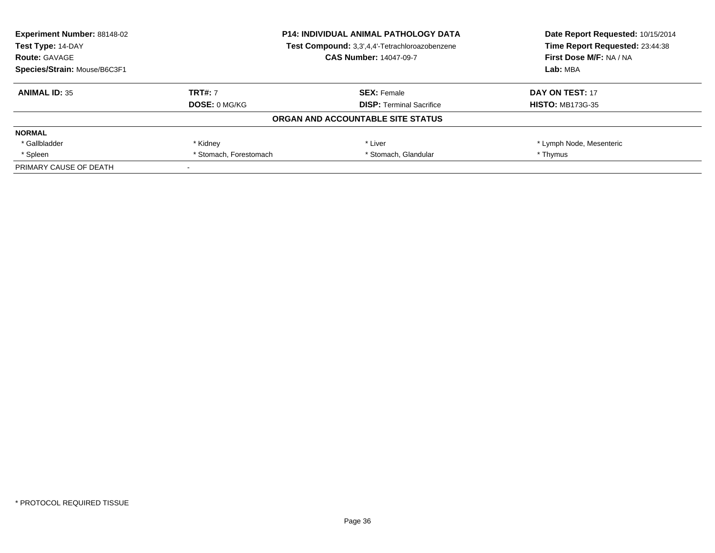| <b>Experiment Number: 88148-02</b> |                                                | <b>P14: INDIVIDUAL ANIMAL PATHOLOGY DATA</b> | Date Report Requested: 10/15/2014 |
|------------------------------------|------------------------------------------------|----------------------------------------------|-----------------------------------|
| Test Type: 14-DAY                  | Test Compound: 3,3',4,4'-Tetrachloroazobenzene |                                              | Time Report Requested: 23:44:38   |
| <b>Route: GAVAGE</b>               |                                                | <b>CAS Number: 14047-09-7</b>                | First Dose M/F: NA / NA           |
| Species/Strain: Mouse/B6C3F1       |                                                | Lab: MBA                                     |                                   |
| <b>ANIMAL ID: 35</b>               | <b>TRT#: 7</b>                                 | <b>SEX: Female</b>                           | DAY ON TEST: 17                   |
|                                    | <b>DOSE: 0 MG/KG</b>                           | <b>DISP:</b> Terminal Sacrifice              | <b>HISTO: MB173G-35</b>           |
|                                    |                                                | ORGAN AND ACCOUNTABLE SITE STATUS            |                                   |
| <b>NORMAL</b>                      |                                                |                                              |                                   |
| * Gallbladder                      | * Kidney                                       | * Liver                                      | * Lymph Node, Mesenteric          |
| * Spleen                           | * Stomach, Forestomach                         | * Stomach, Glandular                         | * Thymus                          |
| PRIMARY CAUSE OF DEATH             |                                                |                                              |                                   |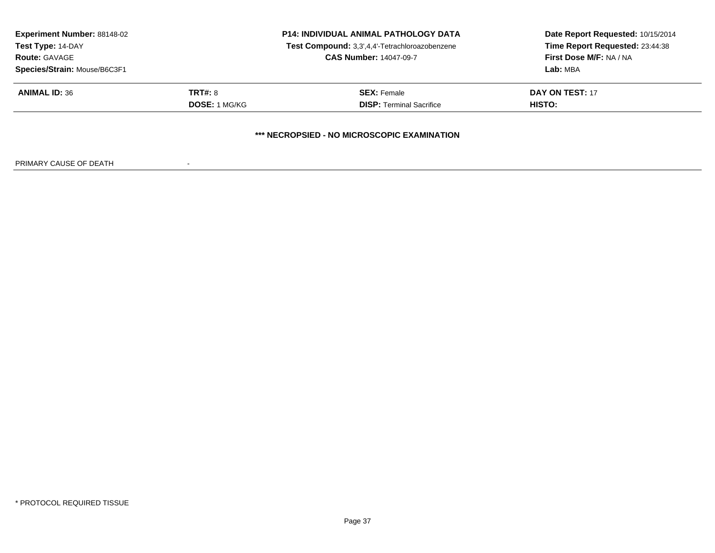| <b>Experiment Number: 88148-02</b><br>Test Type: 14-DAY<br><b>Route: GAVAGE</b><br>Species/Strain: Mouse/B6C3F1 |                                        | <b>P14: INDIVIDUAL ANIMAL PATHOLOGY DATA</b><br>Test Compound: 3,3',4,4'-Tetrachloroazobenzene<br><b>CAS Number: 14047-09-7</b> | Date Report Requested: 10/15/2014<br>Time Report Requested: 23:44:38<br>First Dose M/F: NA / NA<br>Lab: MBA |
|-----------------------------------------------------------------------------------------------------------------|----------------------------------------|---------------------------------------------------------------------------------------------------------------------------------|-------------------------------------------------------------------------------------------------------------|
| <b>ANIMAL ID: 36</b>                                                                                            | <b>TRT#: 8</b><br><b>DOSE: 1 MG/KG</b> | <b>SEX: Female</b><br><b>DISP:</b> Terminal Sacrifice                                                                           | DAY ON TEST: 17<br>HISTO:                                                                                   |
|                                                                                                                 |                                        | *** NECROPSIED - NO MICROSCOPIC EXAMINATION                                                                                     |                                                                                                             |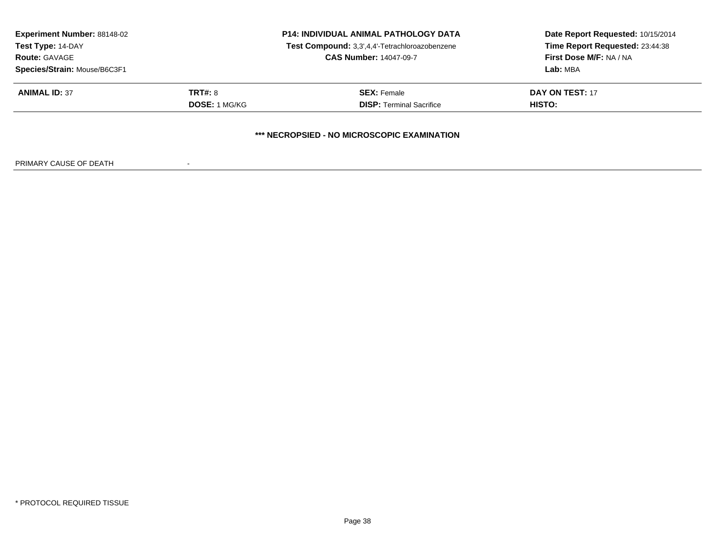| <b>Experiment Number: 88148-02</b><br>Test Type: 14-DAY<br><b>Route: GAVAGE</b><br>Species/Strain: Mouse/B6C3F1 |                                        | <b>P14: INDIVIDUAL ANIMAL PATHOLOGY DATA</b><br>Test Compound: 3,3',4,4'-Tetrachloroazobenzene<br><b>CAS Number: 14047-09-7</b> | Date Report Requested: 10/15/2014<br>Time Report Requested: 23:44:38<br>First Dose M/F: NA / NA<br>Lab: MBA |
|-----------------------------------------------------------------------------------------------------------------|----------------------------------------|---------------------------------------------------------------------------------------------------------------------------------|-------------------------------------------------------------------------------------------------------------|
| <b>ANIMAL ID: 37</b>                                                                                            | <b>TRT#: 8</b><br><b>DOSE: 1 MG/KG</b> | <b>SEX: Female</b><br><b>DISP: Terminal Sacrifice</b>                                                                           | <b>DAY ON TEST: 17</b><br><b>HISTO:</b>                                                                     |
|                                                                                                                 |                                        | *** NECROPSIED - NO MICROSCOPIC EXAMINATION                                                                                     |                                                                                                             |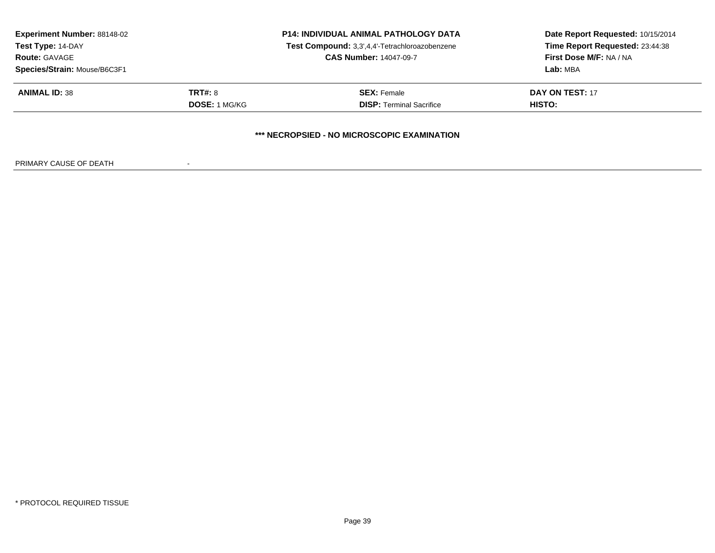| <b>Experiment Number: 88148-02</b><br>Test Type: 14-DAY<br><b>Route: GAVAGE</b> |                      | <b>P14: INDIVIDUAL ANIMAL PATHOLOGY DATA</b><br>Test Compound: 3,3',4,4'-Tetrachloroazobenzene<br><b>CAS Number: 14047-09-7</b> | Date Report Requested: 10/15/2014<br>Time Report Requested: 23:44:38<br>First Dose M/F: NA / NA |
|---------------------------------------------------------------------------------|----------------------|---------------------------------------------------------------------------------------------------------------------------------|-------------------------------------------------------------------------------------------------|
| Species/Strain: Mouse/B6C3F1                                                    |                      |                                                                                                                                 | <b>Lab: MBA</b>                                                                                 |
| <b>ANIMAL ID: 38</b>                                                            | TRT#: 8              | <b>SEX: Female</b>                                                                                                              | DAY ON TEST: 17                                                                                 |
|                                                                                 | <b>DOSE:</b> 1 MG/KG | <b>DISP:</b> Terminal Sacrifice                                                                                                 | HISTO:                                                                                          |
|                                                                                 |                      | *** NECROPSIED - NO MICROSCOPIC EXAMINATION                                                                                     |                                                                                                 |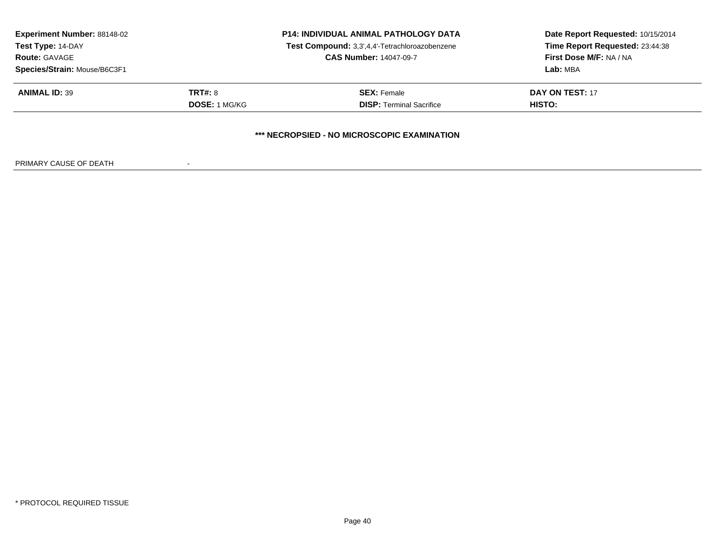| <b>Experiment Number: 88148-02</b><br>Test Type: 14-DAY<br><b>Route: GAVAGE</b><br>Species/Strain: Mouse/B6C3F1 |                                        | <b>P14: INDIVIDUAL ANIMAL PATHOLOGY DATA</b><br>Test Compound: 3,3',4,4'-Tetrachloroazobenzene<br><b>CAS Number: 14047-09-7</b> | Date Report Requested: 10/15/2014<br>Time Report Requested: 23:44:38<br>First Dose M/F: NA / NA<br>Lab: MBA |
|-----------------------------------------------------------------------------------------------------------------|----------------------------------------|---------------------------------------------------------------------------------------------------------------------------------|-------------------------------------------------------------------------------------------------------------|
| <b>ANIMAL ID: 39</b>                                                                                            | <b>TRT#: 8</b><br><b>DOSE: 1 MG/KG</b> | <b>SEX: Female</b><br><b>DISP:</b> Terminal Sacrifice                                                                           | DAY ON TEST: 17<br>HISTO:                                                                                   |
|                                                                                                                 |                                        | *** NECROPSIED - NO MICROSCOPIC EXAMINATION                                                                                     |                                                                                                             |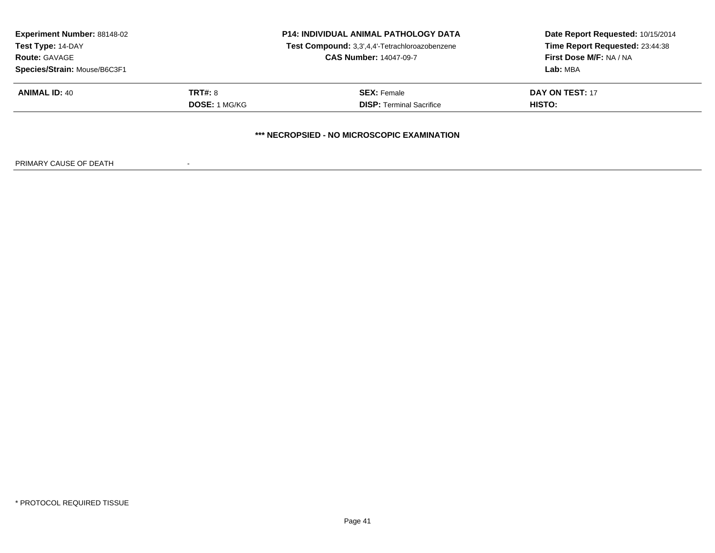| <b>Experiment Number: 88148-02</b><br>Test Type: 14-DAY<br><b>Route: GAVAGE</b><br>Species/Strain: Mouse/B6C3F1 |                                        | <b>P14: INDIVIDUAL ANIMAL PATHOLOGY DATA</b><br>Test Compound: 3,3',4,4'-Tetrachloroazobenzene<br><b>CAS Number: 14047-09-7</b> | Date Report Requested: 10/15/2014<br>Time Report Requested: 23:44:38<br>First Dose M/F: NA / NA<br>Lab: MBA |
|-----------------------------------------------------------------------------------------------------------------|----------------------------------------|---------------------------------------------------------------------------------------------------------------------------------|-------------------------------------------------------------------------------------------------------------|
| <b>ANIMAL ID: 40</b>                                                                                            | <b>TRT#: 8</b><br><b>DOSE: 1 MG/KG</b> | <b>SEX: Female</b><br><b>DISP:</b> Terminal Sacrifice                                                                           | DAY ON TEST: 17<br>HISTO:                                                                                   |
|                                                                                                                 |                                        | *** NECROPSIED - NO MICROSCOPIC EXAMINATION                                                                                     |                                                                                                             |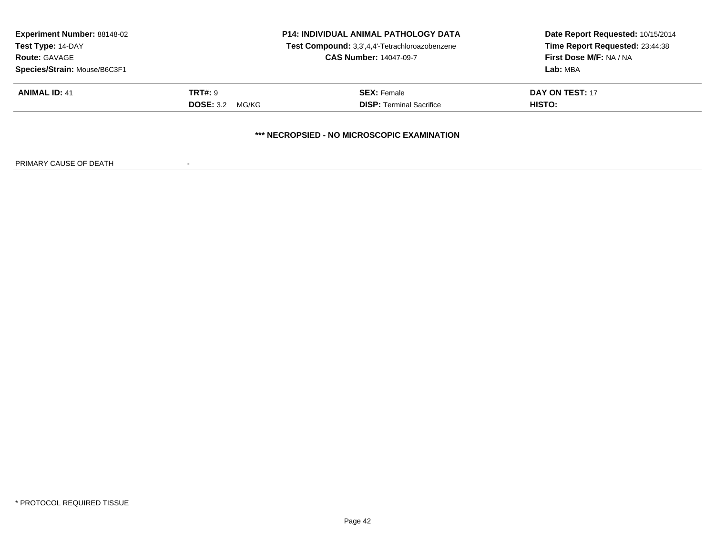| <b>Experiment Number: 88148-02</b><br>Test Type: 14-DAY<br><b>Route: GAVAGE</b><br>Species/Strain: Mouse/B6C3F1 |                                             | <b>P14: INDIVIDUAL ANIMAL PATHOLOGY DATA</b><br>Test Compound: 3,3',4,4'-Tetrachloroazobenzene<br><b>CAS Number: 14047-09-7</b> | Date Report Requested: 10/15/2014<br>Time Report Requested: 23:44:38<br>First Dose M/F: NA / NA<br>Lab: MBA |
|-----------------------------------------------------------------------------------------------------------------|---------------------------------------------|---------------------------------------------------------------------------------------------------------------------------------|-------------------------------------------------------------------------------------------------------------|
| <b>ANIMAL ID: 41</b>                                                                                            | <b>TRT#: 9</b><br><b>DOSE: 3.2</b><br>MG/KG | <b>SEX: Female</b><br><b>DISP: Terminal Sacrifice</b>                                                                           | DAY ON TEST: 17<br>HISTO:                                                                                   |
|                                                                                                                 |                                             | *** NECROPSIED - NO MICROSCOPIC EXAMINATION                                                                                     |                                                                                                             |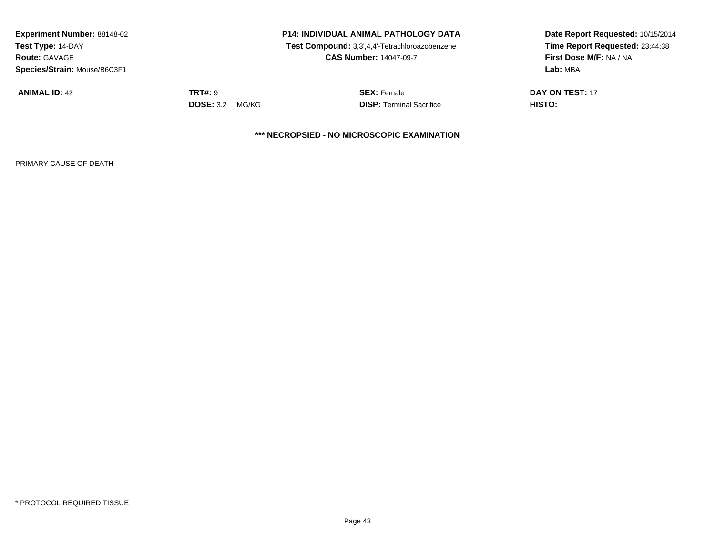| <b>Experiment Number: 88148-02</b><br>Test Type: 14-DAY<br><b>Route: GAVAGE</b><br>Species/Strain: Mouse/B6C3F1 |                                          | <b>P14: INDIVIDUAL ANIMAL PATHOLOGY DATA</b><br>Test Compound: 3,3',4,4'-Tetrachloroazobenzene<br><b>CAS Number: 14047-09-7</b> | Date Report Requested: 10/15/2014<br>Time Report Requested: 23:44:38<br>First Dose M/F: NA / NA<br>Lab: MBA |
|-----------------------------------------------------------------------------------------------------------------|------------------------------------------|---------------------------------------------------------------------------------------------------------------------------------|-------------------------------------------------------------------------------------------------------------|
| <b>ANIMAL ID: 42</b>                                                                                            | <b>TRT#: 9</b><br><b>DOSE:</b> 3.2 MG/KG | <b>SEX: Female</b><br><b>DISP: Terminal Sacrifice</b>                                                                           | DAY ON TEST: 17<br>HISTO:                                                                                   |
|                                                                                                                 |                                          | *** NECROPSIED - NO MICROSCOPIC EXAMINATION                                                                                     |                                                                                                             |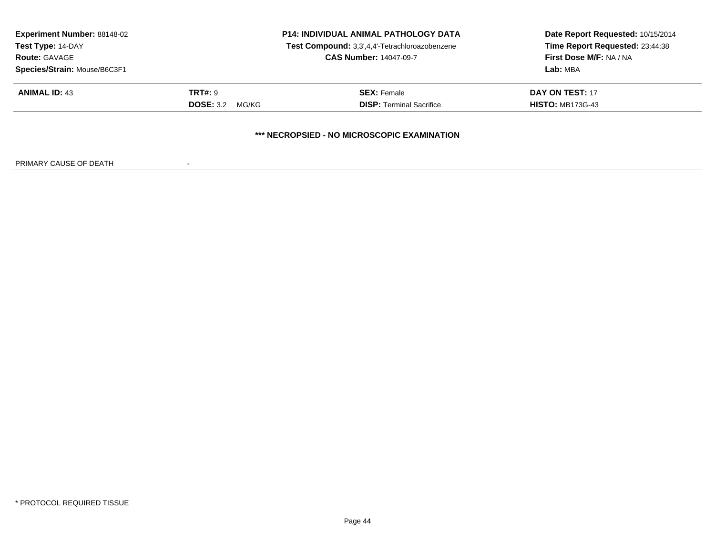| <b>Experiment Number: 88148-02</b><br>Test Type: 14-DAY<br><b>Route: GAVAGE</b><br>Species/Strain: Mouse/B6C3F1 |                                             | <b>P14: INDIVIDUAL ANIMAL PATHOLOGY DATA</b><br>Test Compound: 3,3',4,4'-Tetrachloroazobenzene<br><b>CAS Number: 14047-09-7</b> | Date Report Requested: 10/15/2014<br>Time Report Requested: 23:44:38<br>First Dose M/F: NA / NA<br>Lab: MBA |
|-----------------------------------------------------------------------------------------------------------------|---------------------------------------------|---------------------------------------------------------------------------------------------------------------------------------|-------------------------------------------------------------------------------------------------------------|
| <b>ANIMAL ID: 43</b>                                                                                            | <b>TRT#: 9</b><br><b>DOSE: 3.2</b><br>MG/KG | <b>SEX: Female</b><br><b>DISP:</b> Terminal Sacrifice                                                                           | <b>DAY ON TEST: 17</b><br><b>HISTO: MB173G-43</b>                                                           |
|                                                                                                                 |                                             | *** NECROPSIED - NO MICROSCOPIC EXAMINATION                                                                                     |                                                                                                             |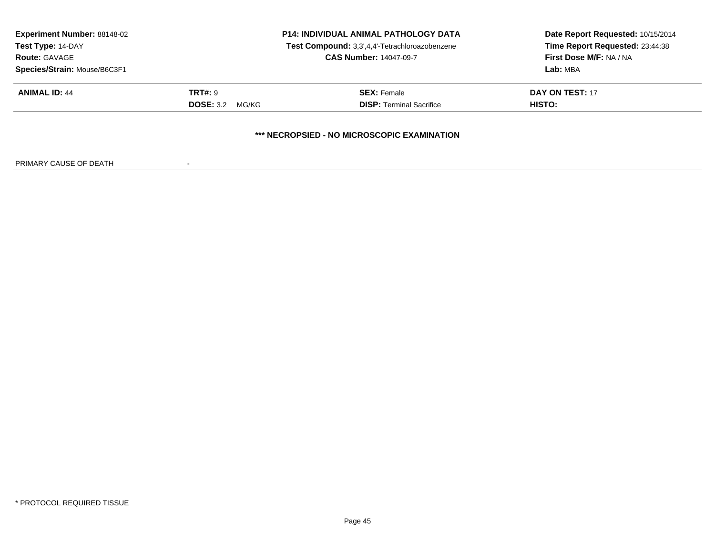| <b>Experiment Number: 88148-02</b><br>Test Type: 14-DAY<br><b>Route: GAVAGE</b><br>Species/Strain: Mouse/B6C3F1 |                                             | <b>P14: INDIVIDUAL ANIMAL PATHOLOGY DATA</b><br>Test Compound: 3,3',4,4'-Tetrachloroazobenzene<br><b>CAS Number: 14047-09-7</b> | Date Report Requested: 10/15/2014<br>Time Report Requested: 23:44:38<br>First Dose M/F: NA / NA<br>Lab: MBA |
|-----------------------------------------------------------------------------------------------------------------|---------------------------------------------|---------------------------------------------------------------------------------------------------------------------------------|-------------------------------------------------------------------------------------------------------------|
| <b>ANIMAL ID: 44</b>                                                                                            | <b>TRT#: 9</b><br><b>DOSE: 3.2</b><br>MG/KG | <b>SEX: Female</b><br><b>DISP: Terminal Sacrifice</b>                                                                           | DAY ON TEST: 17<br>HISTO:                                                                                   |
|                                                                                                                 |                                             | *** NECROPSIED - NO MICROSCOPIC EXAMINATION                                                                                     |                                                                                                             |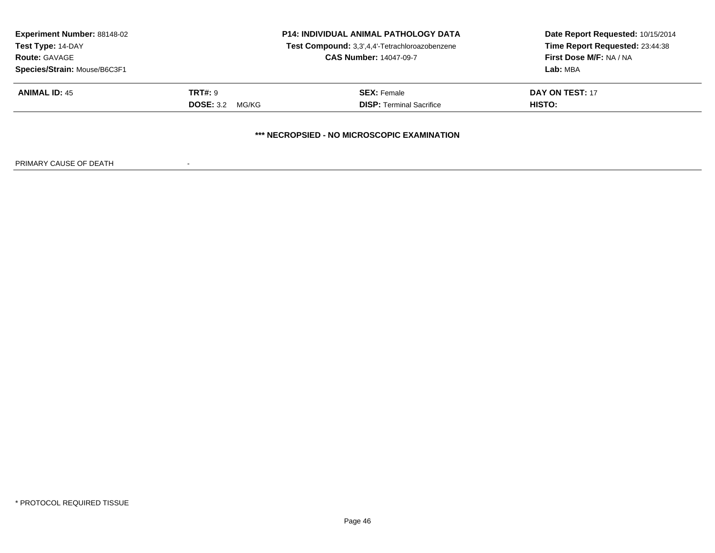| <b>Experiment Number: 88148-02</b><br>Test Type: 14-DAY<br><b>Route: GAVAGE</b><br>Species/Strain: Mouse/B6C3F1 |                                             | <b>P14: INDIVIDUAL ANIMAL PATHOLOGY DATA</b><br>Test Compound: 3,3',4,4'-Tetrachloroazobenzene<br><b>CAS Number: 14047-09-7</b> | Date Report Requested: 10/15/2014<br>Time Report Requested: 23:44:38<br>First Dose M/F: NA / NA<br>Lab: MBA |
|-----------------------------------------------------------------------------------------------------------------|---------------------------------------------|---------------------------------------------------------------------------------------------------------------------------------|-------------------------------------------------------------------------------------------------------------|
| <b>ANIMAL ID: 45</b>                                                                                            | <b>TRT#: 9</b><br><b>DOSE: 3.2</b><br>MG/KG | <b>SEX: Female</b><br><b>DISP: Terminal Sacrifice</b>                                                                           | DAY ON TEST: 17<br>HISTO:                                                                                   |
|                                                                                                                 |                                             | *** NECROPSIED - NO MICROSCOPIC EXAMINATION                                                                                     |                                                                                                             |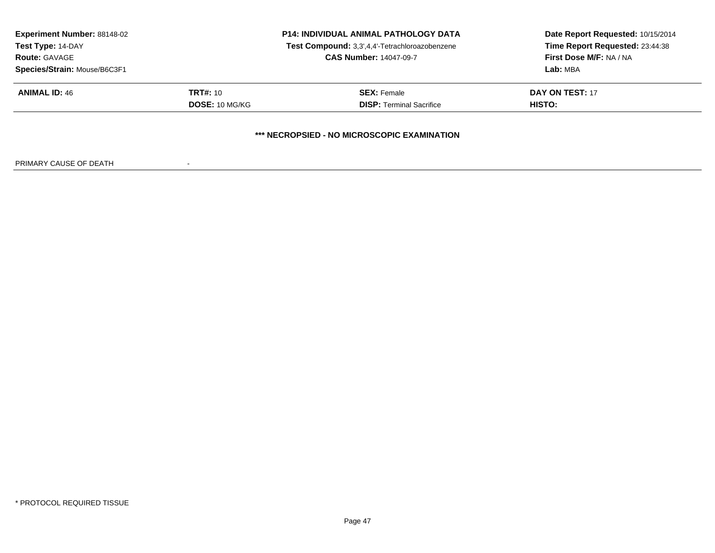| <b>Experiment Number: 88148-02</b><br>Test Type: 14-DAY<br><b>Route: GAVAGE</b> | <b>P14: INDIVIDUAL ANIMAL PATHOLOGY DATA</b><br>Test Compound: 3,3',4,4'-Tetrachloroazobenzene<br><b>CAS Number: 14047-09-7</b> |                                             | Date Report Requested: 10/15/2014<br>Time Report Requested: 23:44:38<br>First Dose M/F: NA / NA |  |
|---------------------------------------------------------------------------------|---------------------------------------------------------------------------------------------------------------------------------|---------------------------------------------|-------------------------------------------------------------------------------------------------|--|
| Species/Strain: Mouse/B6C3F1                                                    |                                                                                                                                 |                                             | Lab: MBA                                                                                        |  |
| <b>ANIMAL ID: 46</b>                                                            | <b>TRT#: 10</b>                                                                                                                 | <b>SEX: Female</b>                          | DAY ON TEST: 17                                                                                 |  |
|                                                                                 | <b>DOSE: 10 MG/KG</b>                                                                                                           | <b>DISP:</b> Terminal Sacrifice             | HISTO:                                                                                          |  |
|                                                                                 |                                                                                                                                 |                                             |                                                                                                 |  |
|                                                                                 |                                                                                                                                 | *** NECROPSIED - NO MICROSCOPIC EXAMINATION |                                                                                                 |  |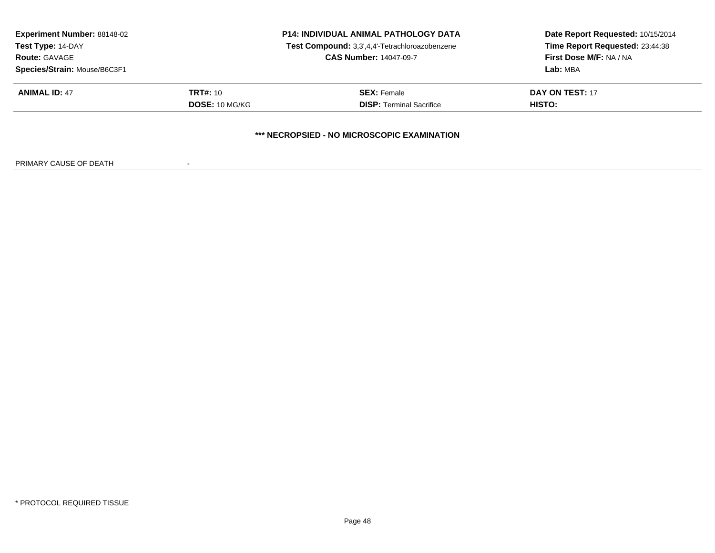| <b>Experiment Number: 88148-02</b><br>Test Type: 14-DAY<br><b>Route: GAVAGE</b> | <b>P14: INDIVIDUAL ANIMAL PATHOLOGY DATA</b><br>Test Compound: 3,3',4,4'-Tetrachloroazobenzene<br><b>CAS Number: 14047-09-7</b> |                                             | Date Report Requested: 10/15/2014<br>Time Report Requested: 23:44:38<br>First Dose M/F: NA / NA |  |
|---------------------------------------------------------------------------------|---------------------------------------------------------------------------------------------------------------------------------|---------------------------------------------|-------------------------------------------------------------------------------------------------|--|
| Species/Strain: Mouse/B6C3F1                                                    |                                                                                                                                 |                                             | Lab: MBA                                                                                        |  |
| <b>ANIMAL ID: 47</b>                                                            | <b>TRT#: 10</b>                                                                                                                 | <b>SEX: Female</b>                          | DAY ON TEST: 17                                                                                 |  |
|                                                                                 | <b>DOSE: 10 MG/KG</b>                                                                                                           | <b>DISP:</b> Terminal Sacrifice             | HISTO:                                                                                          |  |
|                                                                                 |                                                                                                                                 | *** NECROPSIED - NO MICROSCOPIC EXAMINATION |                                                                                                 |  |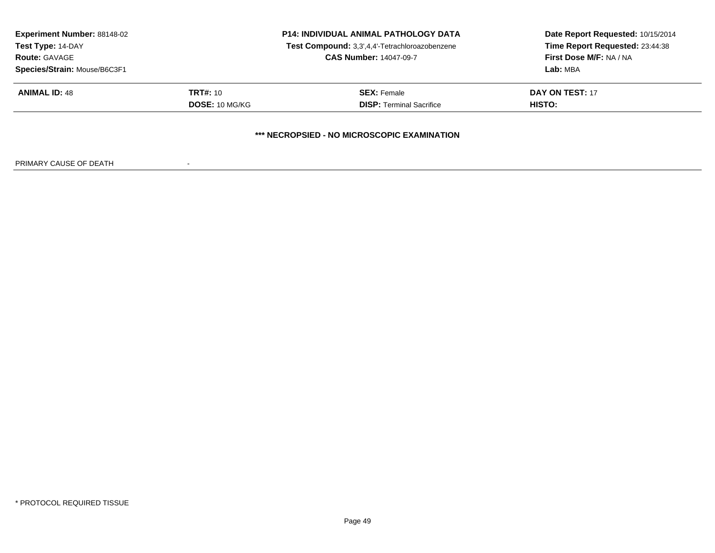| <b>Experiment Number: 88148-02</b><br>Test Type: 14-DAY<br><b>Route: GAVAGE</b> | <b>P14: INDIVIDUAL ANIMAL PATHOLOGY DATA</b><br>Test Compound: 3,3',4,4'-Tetrachloroazobenzene<br><b>CAS Number: 14047-09-7</b> |                                             | Date Report Requested: 10/15/2014<br>Time Report Requested: 23:44:38<br>First Dose M/F: NA / NA |  |
|---------------------------------------------------------------------------------|---------------------------------------------------------------------------------------------------------------------------------|---------------------------------------------|-------------------------------------------------------------------------------------------------|--|
| Species/Strain: Mouse/B6C3F1                                                    |                                                                                                                                 |                                             | Lab: MBA                                                                                        |  |
| <b>ANIMAL ID: 48</b>                                                            | <b>TRT#: 10</b>                                                                                                                 | <b>SEX: Female</b>                          | DAY ON TEST: 17                                                                                 |  |
|                                                                                 | <b>DOSE: 10 MG/KG</b>                                                                                                           | <b>DISP:</b> Terminal Sacrifice             | HISTO:                                                                                          |  |
|                                                                                 |                                                                                                                                 | *** NECROPSIED - NO MICROSCOPIC EXAMINATION |                                                                                                 |  |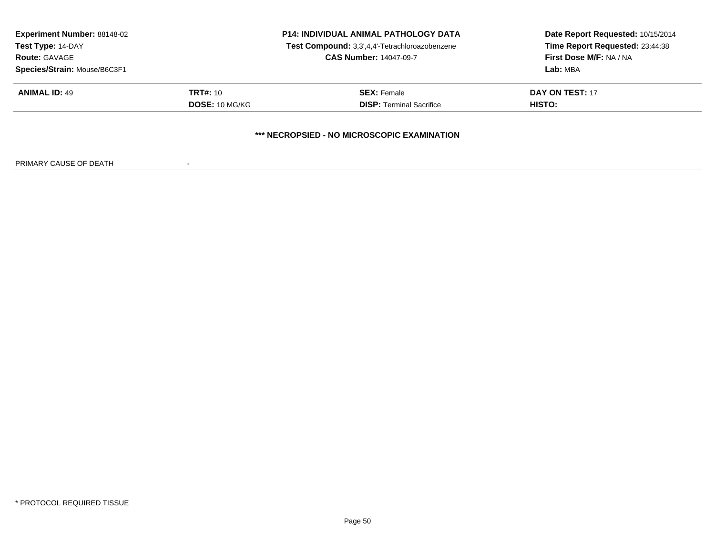| Date Report Requested: 10/15/2014<br>Time Report Requested: 23:44:38<br>First Dose M/F: NA / NA<br>Lab: MBA |  |
|-------------------------------------------------------------------------------------------------------------|--|
|                                                                                                             |  |
| HISTO:                                                                                                      |  |
|                                                                                                             |  |
|                                                                                                             |  |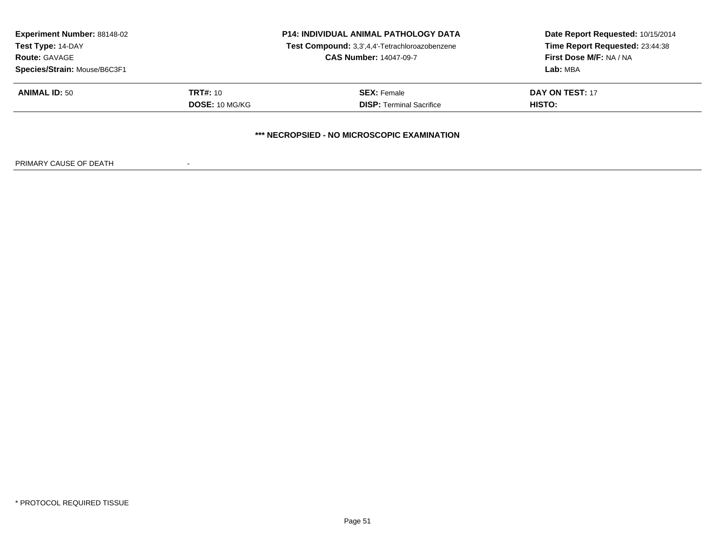| <b>Experiment Number: 88148-02</b><br>Test Type: 14-DAY<br><b>Route: GAVAGE</b> | <b>P14: INDIVIDUAL ANIMAL PATHOLOGY DATA</b><br>Test Compound: 3,3',4,4'-Tetrachloroazobenzene<br><b>CAS Number: 14047-09-7</b> |                                             | Date Report Requested: 10/15/2014<br>Time Report Requested: 23:44:38<br>First Dose M/F: NA / NA<br><b>Lab: MBA</b> |  |
|---------------------------------------------------------------------------------|---------------------------------------------------------------------------------------------------------------------------------|---------------------------------------------|--------------------------------------------------------------------------------------------------------------------|--|
| Species/Strain: Mouse/B6C3F1                                                    |                                                                                                                                 |                                             |                                                                                                                    |  |
| <b>ANIMAL ID: 50</b>                                                            | <b>TRT#: 10</b>                                                                                                                 | <b>SEX: Female</b>                          | DAY ON TEST: 17                                                                                                    |  |
|                                                                                 | <b>DOSE: 10 MG/KG</b>                                                                                                           | <b>DISP:</b> Terminal Sacrifice             | HISTO:                                                                                                             |  |
|                                                                                 |                                                                                                                                 | *** NECROPSIED - NO MICROSCOPIC EXAMINATION |                                                                                                                    |  |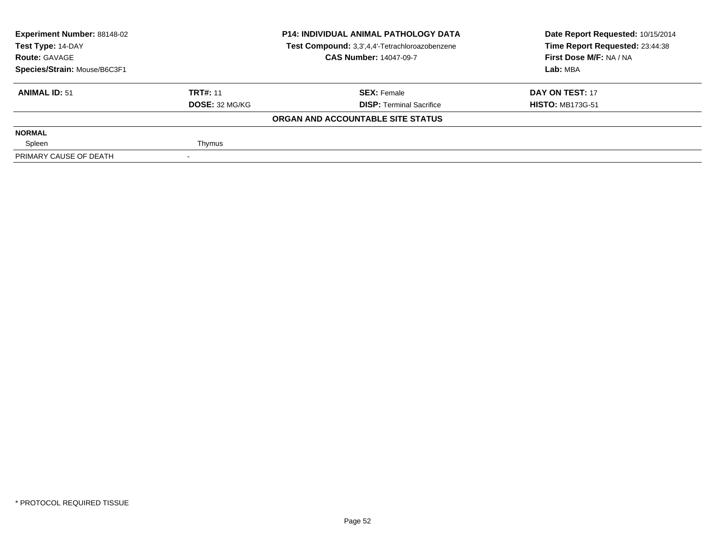| <b>Experiment Number: 88148-02</b><br>Test Type: 14-DAY |                 | <b>P14: INDIVIDUAL ANIMAL PATHOLOGY DATA</b>   | Date Report Requested: 10/15/2014 |  |
|---------------------------------------------------------|-----------------|------------------------------------------------|-----------------------------------|--|
|                                                         |                 | Test Compound: 3,3',4,4'-Tetrachloroazobenzene | Time Report Requested: 23:44:38   |  |
| <b>Route: GAVAGE</b>                                    |                 | <b>CAS Number: 14047-09-7</b>                  | First Dose M/F: NA / NA           |  |
| Species/Strain: Mouse/B6C3F1                            |                 |                                                | Lab: MBA                          |  |
| <b>ANIMAL ID: 51</b>                                    | <b>TRT#: 11</b> | <b>SEX: Female</b>                             | DAY ON TEST: 17                   |  |
|                                                         | DOSE: 32 MG/KG  | <b>DISP: Terminal Sacrifice</b>                | <b>HISTO: MB173G-51</b>           |  |
|                                                         |                 | ORGAN AND ACCOUNTABLE SITE STATUS              |                                   |  |
| <b>NORMAL</b>                                           |                 |                                                |                                   |  |
| Spleen                                                  | Thymus          |                                                |                                   |  |
| PRIMARY CAUSE OF DEATH                                  |                 |                                                |                                   |  |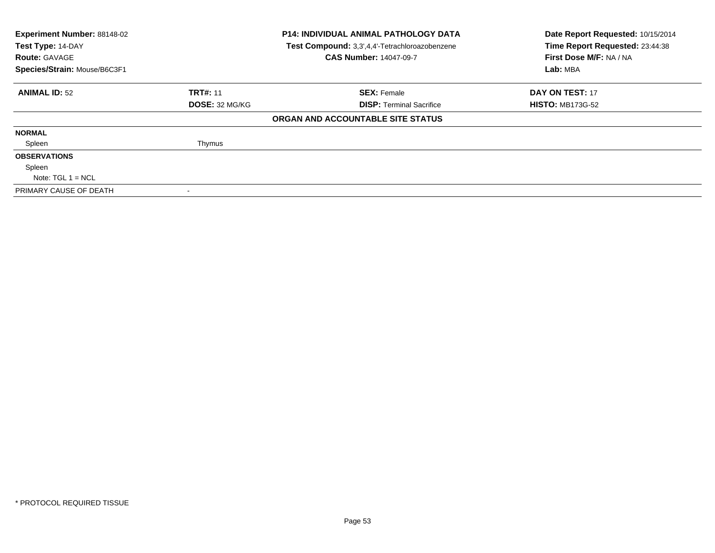| Experiment Number: 88148-02<br>Test Type: 14-DAY |                 | <b>P14: INDIVIDUAL ANIMAL PATHOLOGY DATA</b>   | Date Report Requested: 10/15/2014 |  |
|--------------------------------------------------|-----------------|------------------------------------------------|-----------------------------------|--|
|                                                  |                 | Test Compound: 3,3',4,4'-Tetrachloroazobenzene | Time Report Requested: 23:44:38   |  |
| <b>Route: GAVAGE</b>                             |                 | <b>CAS Number: 14047-09-7</b>                  | First Dose M/F: NA / NA           |  |
| Species/Strain: Mouse/B6C3F1                     |                 |                                                | Lab: MBA                          |  |
| <b>ANIMAL ID: 52</b>                             | <b>TRT#: 11</b> | <b>SEX: Female</b>                             | DAY ON TEST: 17                   |  |
|                                                  | DOSE: 32 MG/KG  | <b>DISP: Terminal Sacrifice</b>                | <b>HISTO: MB173G-52</b>           |  |
|                                                  |                 | ORGAN AND ACCOUNTABLE SITE STATUS              |                                   |  |
| <b>NORMAL</b>                                    |                 |                                                |                                   |  |
| Spleen                                           | Thymus          |                                                |                                   |  |
| <b>OBSERVATIONS</b>                              |                 |                                                |                                   |  |
| Spleen                                           |                 |                                                |                                   |  |
| Note: $TGL 1 = NCL$                              |                 |                                                |                                   |  |
| PRIMARY CAUSE OF DEATH                           |                 |                                                |                                   |  |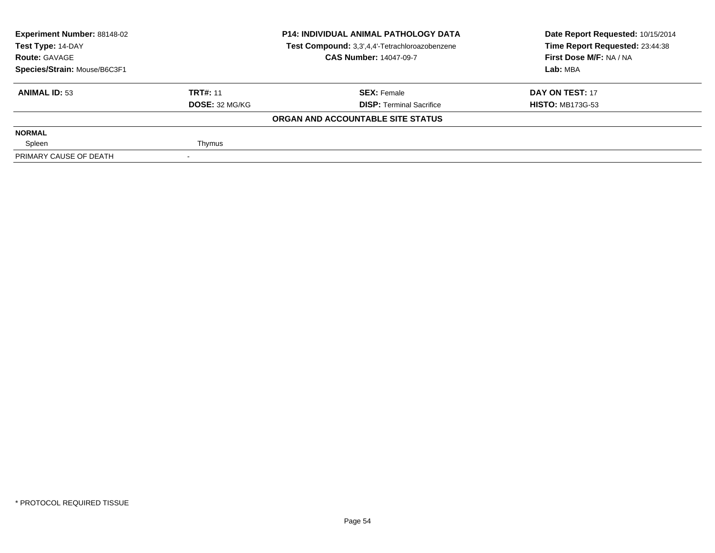| <b>Experiment Number: 88148-02</b><br>Test Type: 14-DAY |                 | <b>P14: INDIVIDUAL ANIMAL PATHOLOGY DATA</b>   | Date Report Requested: 10/15/2014 |  |
|---------------------------------------------------------|-----------------|------------------------------------------------|-----------------------------------|--|
|                                                         |                 | Test Compound: 3,3',4,4'-Tetrachloroazobenzene | Time Report Requested: 23:44:38   |  |
| <b>Route: GAVAGE</b>                                    |                 | <b>CAS Number: 14047-09-7</b>                  | First Dose M/F: NA / NA           |  |
| Species/Strain: Mouse/B6C3F1                            |                 |                                                | Lab: MBA                          |  |
| <b>ANIMAL ID: 53</b>                                    | <b>TRT#: 11</b> | <b>SEX: Female</b>                             | DAY ON TEST: 17                   |  |
|                                                         | DOSE: 32 MG/KG  | <b>DISP: Terminal Sacrifice</b>                | <b>HISTO: MB173G-53</b>           |  |
|                                                         |                 | ORGAN AND ACCOUNTABLE SITE STATUS              |                                   |  |
| <b>NORMAL</b>                                           |                 |                                                |                                   |  |
| Spleen                                                  | Thymus          |                                                |                                   |  |
| PRIMARY CAUSE OF DEATH                                  |                 |                                                |                                   |  |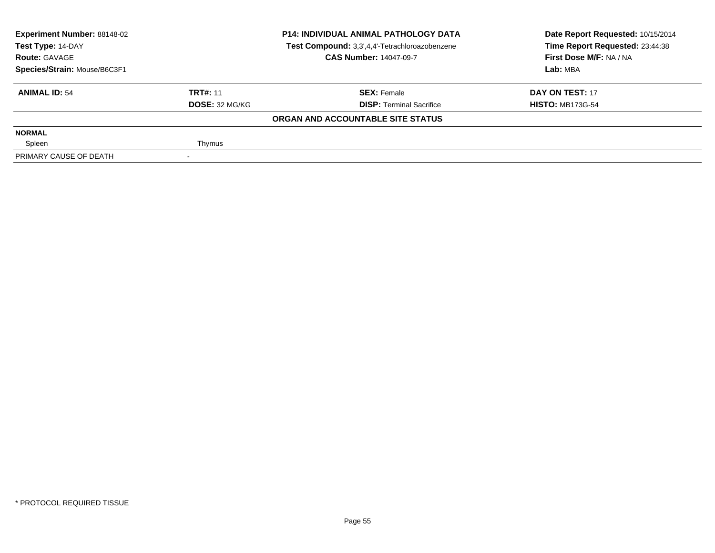| <b>Experiment Number: 88148-02</b><br>Test Type: 14-DAY |                 | <b>P14: INDIVIDUAL ANIMAL PATHOLOGY DATA</b>   | Date Report Requested: 10/15/2014 |  |
|---------------------------------------------------------|-----------------|------------------------------------------------|-----------------------------------|--|
|                                                         |                 | Test Compound: 3,3',4,4'-Tetrachloroazobenzene | Time Report Requested: 23:44:38   |  |
| <b>Route: GAVAGE</b>                                    |                 | <b>CAS Number: 14047-09-7</b>                  | First Dose M/F: NA / NA           |  |
| Species/Strain: Mouse/B6C3F1                            |                 |                                                | Lab: MBA                          |  |
| <b>ANIMAL ID: 54</b>                                    | <b>TRT#: 11</b> | <b>SEX: Female</b>                             | DAY ON TEST: 17                   |  |
|                                                         | DOSE: 32 MG/KG  | <b>DISP: Terminal Sacrifice</b>                | <b>HISTO: MB173G-54</b>           |  |
|                                                         |                 | ORGAN AND ACCOUNTABLE SITE STATUS              |                                   |  |
| <b>NORMAL</b>                                           |                 |                                                |                                   |  |
| Spleen                                                  | Thymus          |                                                |                                   |  |
| PRIMARY CAUSE OF DEATH                                  |                 |                                                |                                   |  |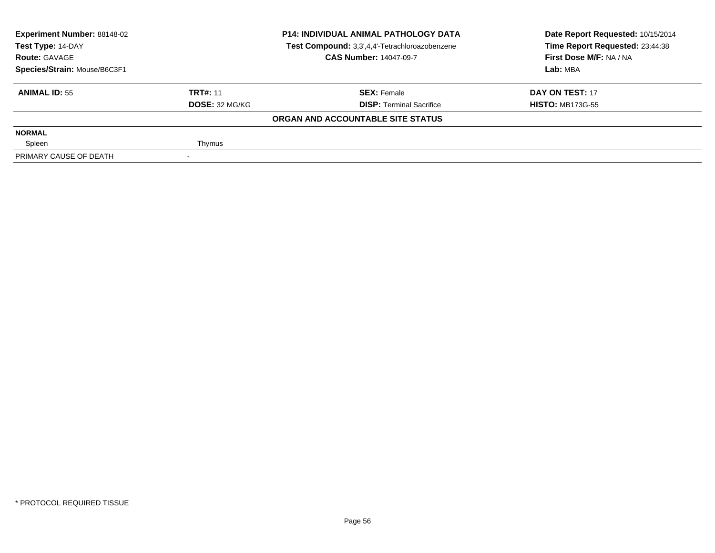| <b>Experiment Number: 88148-02</b><br>Test Type: 14-DAY |                 | <b>P14: INDIVIDUAL ANIMAL PATHOLOGY DATA</b>   | Date Report Requested: 10/15/2014 |  |
|---------------------------------------------------------|-----------------|------------------------------------------------|-----------------------------------|--|
|                                                         |                 | Test Compound: 3,3',4,4'-Tetrachloroazobenzene | Time Report Requested: 23:44:38   |  |
| <b>Route: GAVAGE</b>                                    |                 | <b>CAS Number: 14047-09-7</b>                  | First Dose M/F: NA / NA           |  |
| Species/Strain: Mouse/B6C3F1                            |                 |                                                | Lab: MBA                          |  |
| <b>ANIMAL ID: 55</b>                                    | <b>TRT#: 11</b> | <b>SEX: Female</b>                             | DAY ON TEST: 17                   |  |
|                                                         | DOSE: 32 MG/KG  | <b>DISP: Terminal Sacrifice</b>                | <b>HISTO: MB173G-55</b>           |  |
|                                                         |                 | ORGAN AND ACCOUNTABLE SITE STATUS              |                                   |  |
| <b>NORMAL</b>                                           |                 |                                                |                                   |  |
| Spleen                                                  | Thymus          |                                                |                                   |  |
| PRIMARY CAUSE OF DEATH                                  |                 |                                                |                                   |  |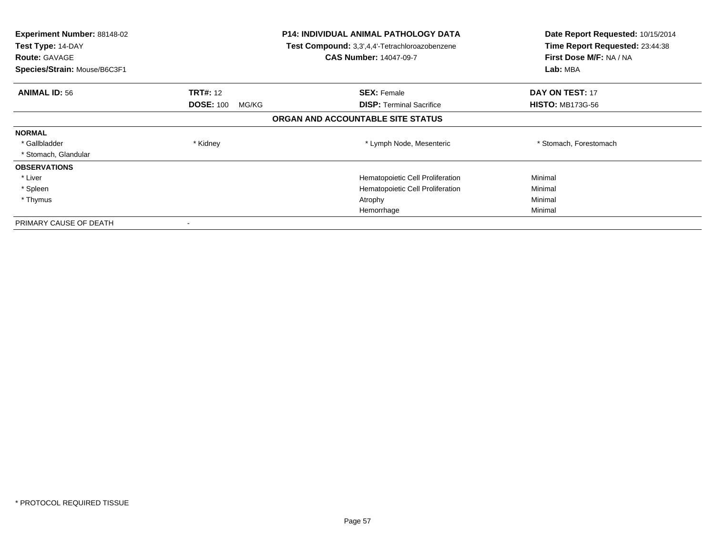| <b>Experiment Number: 88148-02</b><br>Test Type: 14-DAY<br><b>Route: GAVAGE</b><br>Species/Strain: Mouse/B6C3F1 |                           | <b>P14: INDIVIDUAL ANIMAL PATHOLOGY DATA</b><br>Test Compound: 3,3',4,4'-Tetrachloroazobenzene<br><b>CAS Number: 14047-09-7</b> | Date Report Requested: 10/15/2014<br>Time Report Requested: 23:44:38<br>First Dose M/F: NA / NA<br>Lab: MBA |
|-----------------------------------------------------------------------------------------------------------------|---------------------------|---------------------------------------------------------------------------------------------------------------------------------|-------------------------------------------------------------------------------------------------------------|
| <b>ANIMAL ID: 56</b>                                                                                            | <b>TRT#: 12</b>           | <b>SEX: Female</b>                                                                                                              | <b>DAY ON TEST: 17</b>                                                                                      |
|                                                                                                                 | <b>DOSE: 100</b><br>MG/KG | <b>DISP:</b> Terminal Sacrifice                                                                                                 | <b>HISTO: MB173G-56</b>                                                                                     |
|                                                                                                                 |                           | ORGAN AND ACCOUNTABLE SITE STATUS                                                                                               |                                                                                                             |
| <b>NORMAL</b>                                                                                                   |                           |                                                                                                                                 |                                                                                                             |
| * Gallbladder                                                                                                   | * Kidney                  | * Lymph Node, Mesenteric                                                                                                        | * Stomach, Forestomach                                                                                      |
| * Stomach, Glandular                                                                                            |                           |                                                                                                                                 |                                                                                                             |
| <b>OBSERVATIONS</b>                                                                                             |                           |                                                                                                                                 |                                                                                                             |
| * Liver                                                                                                         |                           | Hematopoietic Cell Proliferation                                                                                                | Minimal                                                                                                     |
| * Spleen                                                                                                        |                           | Hematopoietic Cell Proliferation                                                                                                | Minimal                                                                                                     |
| * Thymus                                                                                                        |                           | Atrophy                                                                                                                         | Minimal                                                                                                     |
|                                                                                                                 |                           | Hemorrhage                                                                                                                      | Minimal                                                                                                     |
| PRIMARY CAUSE OF DEATH                                                                                          |                           |                                                                                                                                 |                                                                                                             |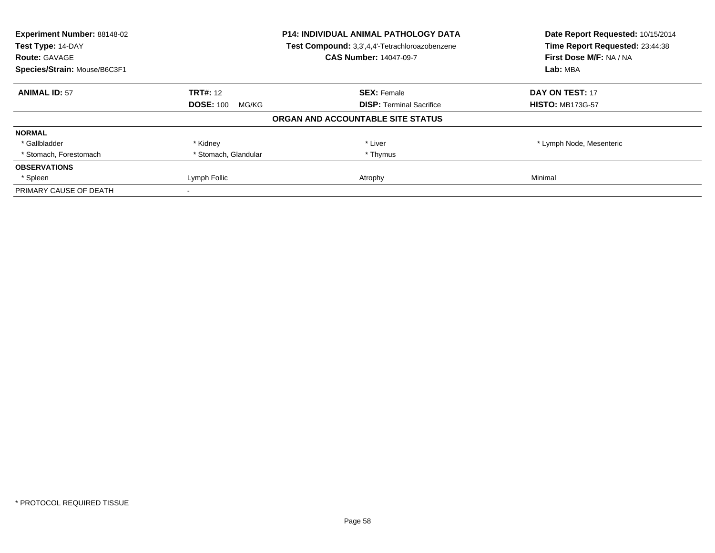| <b>Experiment Number: 88148-02</b><br>Test Type: 14-DAY<br><b>Route: GAVAGE</b> | <b>P14: INDIVIDUAL ANIMAL PATHOLOGY DATA</b><br>Test Compound: 3,3',4,4'-Tetrachloroazobenzene<br><b>CAS Number: 14047-09-7</b> |                                   | Date Report Requested: 10/15/2014<br>Time Report Requested: 23:44:38 |
|---------------------------------------------------------------------------------|---------------------------------------------------------------------------------------------------------------------------------|-----------------------------------|----------------------------------------------------------------------|
| Species/Strain: Mouse/B6C3F1                                                    |                                                                                                                                 |                                   | First Dose M/F: NA / NA<br>Lab: MBA                                  |
| <b>ANIMAL ID: 57</b>                                                            | <b>TRT#: 12</b>                                                                                                                 | <b>SEX: Female</b>                | <b>DAY ON TEST: 17</b>                                               |
|                                                                                 | <b>DOSE: 100</b><br>MG/KG                                                                                                       | <b>DISP:</b> Terminal Sacrifice   | <b>HISTO: MB173G-57</b>                                              |
|                                                                                 |                                                                                                                                 | ORGAN AND ACCOUNTABLE SITE STATUS |                                                                      |
| <b>NORMAL</b>                                                                   |                                                                                                                                 |                                   |                                                                      |
| * Gallbladder                                                                   | * Kidney                                                                                                                        | * Liver                           | * Lymph Node, Mesenteric                                             |
| * Stomach, Forestomach                                                          | * Stomach, Glandular                                                                                                            | * Thymus                          |                                                                      |
| <b>OBSERVATIONS</b>                                                             |                                                                                                                                 |                                   |                                                                      |
| * Spleen                                                                        | Lymph Follic                                                                                                                    | Atrophy                           | Minimal                                                              |
| PRIMARY CAUSE OF DEATH                                                          |                                                                                                                                 |                                   |                                                                      |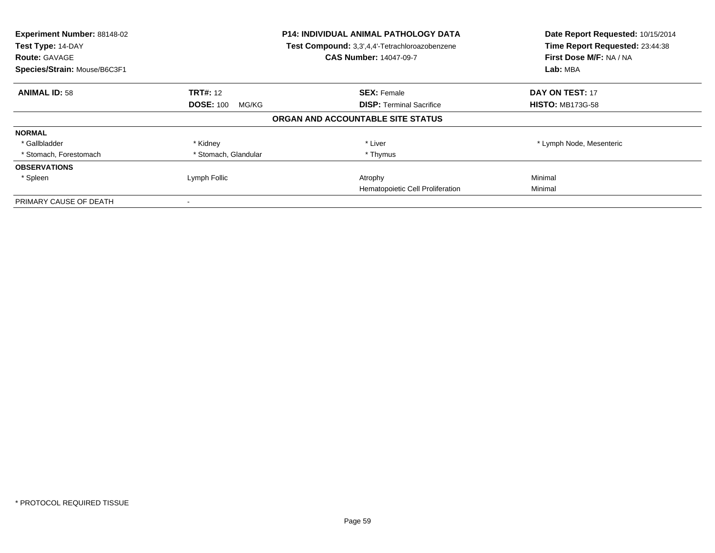| Experiment Number: 88148-02<br>Test Type: 14-DAY<br><b>Route: GAVAGE</b><br>Species/Strain: Mouse/B6C3F1 | <b>P14: INDIVIDUAL ANIMAL PATHOLOGY DATA</b><br>Test Compound: 3,3',4,4'-Tetrachloroazobenzene<br><b>CAS Number: 14047-09-7</b> |                                   | Date Report Requested: 10/15/2014<br>Time Report Requested: 23:44:38<br>First Dose M/F: NA / NA<br>Lab: MBA |
|----------------------------------------------------------------------------------------------------------|---------------------------------------------------------------------------------------------------------------------------------|-----------------------------------|-------------------------------------------------------------------------------------------------------------|
| <b>ANIMAL ID: 58</b>                                                                                     | <b>TRT#:</b> 12                                                                                                                 | <b>SEX: Female</b>                | <b>DAY ON TEST: 17</b>                                                                                      |
|                                                                                                          | <b>DOSE: 100</b><br>MG/KG                                                                                                       | <b>DISP:</b> Terminal Sacrifice   | <b>HISTO: MB173G-58</b>                                                                                     |
|                                                                                                          |                                                                                                                                 | ORGAN AND ACCOUNTABLE SITE STATUS |                                                                                                             |
| <b>NORMAL</b>                                                                                            |                                                                                                                                 |                                   |                                                                                                             |
| * Gallbladder                                                                                            | * Kidney                                                                                                                        | * Liver                           | * Lymph Node, Mesenteric                                                                                    |
| * Stomach, Forestomach                                                                                   | * Stomach, Glandular                                                                                                            | * Thymus                          |                                                                                                             |
| <b>OBSERVATIONS</b>                                                                                      |                                                                                                                                 |                                   |                                                                                                             |
| * Spleen                                                                                                 | Lymph Follic                                                                                                                    | Atrophy                           | Minimal                                                                                                     |
|                                                                                                          |                                                                                                                                 | Hematopoietic Cell Proliferation  | Minimal                                                                                                     |
| PRIMARY CAUSE OF DEATH                                                                                   |                                                                                                                                 |                                   |                                                                                                             |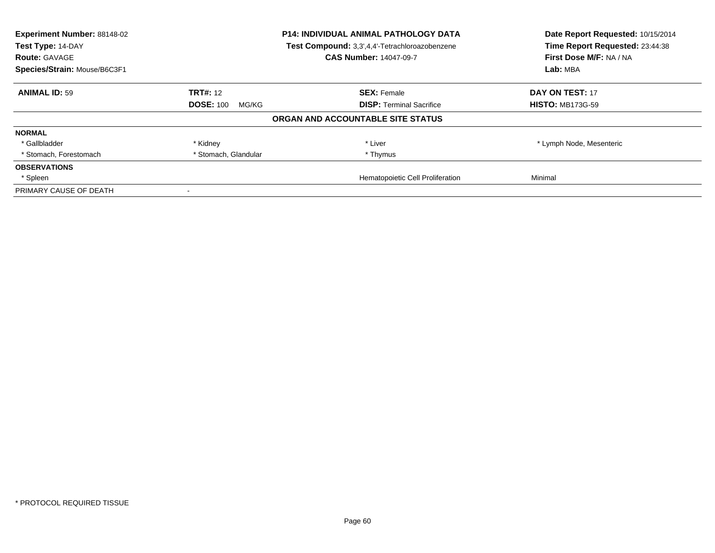| Experiment Number: 88148-02<br>Test Type: 14-DAY |                           | P14: INDIVIDUAL ANIMAL PATHOLOGY DATA<br>Test Compound: 3,3',4,4'-Tetrachloroazobenzene | Date Report Requested: 10/15/2014<br>Time Report Requested: 23:44:38 |
|--------------------------------------------------|---------------------------|-----------------------------------------------------------------------------------------|----------------------------------------------------------------------|
| <b>Route: GAVAGE</b>                             |                           | <b>CAS Number: 14047-09-7</b>                                                           | First Dose M/F: NA / NA                                              |
| Species/Strain: Mouse/B6C3F1                     |                           |                                                                                         | Lab: MBA                                                             |
| <b>ANIMAL ID: 59</b>                             | <b>TRT#: 12</b>           | <b>SEX: Female</b>                                                                      | <b>DAY ON TEST: 17</b>                                               |
|                                                  | <b>DOSE: 100</b><br>MG/KG | <b>DISP:</b> Terminal Sacrifice                                                         | <b>HISTO: MB173G-59</b>                                              |
|                                                  |                           | ORGAN AND ACCOUNTABLE SITE STATUS                                                       |                                                                      |
| <b>NORMAL</b>                                    |                           |                                                                                         |                                                                      |
| * Gallbladder                                    | * Kidney                  | * Liver                                                                                 | * Lymph Node, Mesenteric                                             |
| * Stomach, Forestomach                           | * Stomach, Glandular      | * Thymus                                                                                |                                                                      |
| <b>OBSERVATIONS</b>                              |                           |                                                                                         |                                                                      |
| * Spleen                                         |                           | Hematopoietic Cell Proliferation                                                        | Minimal                                                              |
| PRIMARY CAUSE OF DEATH                           |                           |                                                                                         |                                                                      |